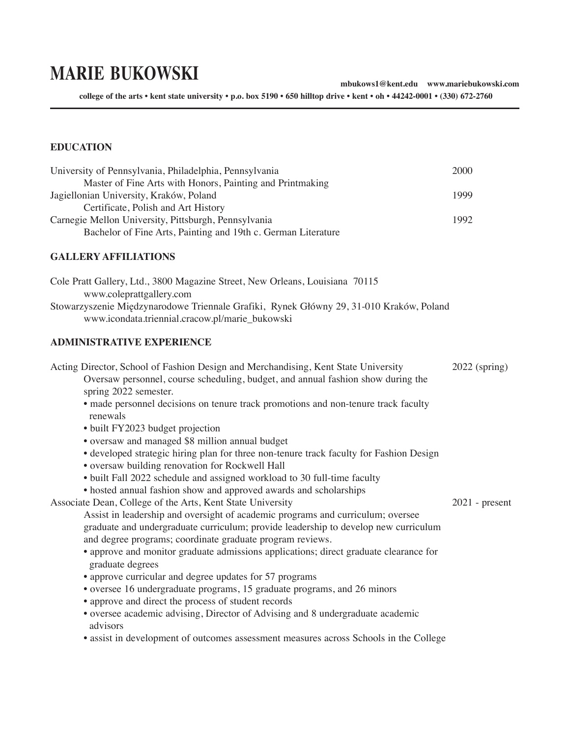# **marie bukowski**

**mbukows1@kent.edu www.mariebukowski.com**

**college of the arts • kent state university • p.o. box 5190 • 650 hilltop drive • kent • oh • 44242-0001 • (330) 672-2760** 

#### **EDUCATION**

| University of Pennsylvania, Philadelphia, Pennsylvania        | 2000 |
|---------------------------------------------------------------|------|
| Master of Fine Arts with Honors, Painting and Printmaking     |      |
| Jagiellonian University, Kraków, Poland                       | 1999 |
| Certificate, Polish and Art History                           |      |
| Carnegie Mellon University, Pittsburgh, Pennsylvania          | 1992 |
| Bachelor of Fine Arts, Painting and 19th c. German Literature |      |

#### **GALLERY AFFILIATIONS**

Cole Pratt Gallery, Ltd., 3800 Magazine Street, New Orleans, Louisiana 70115 www.coleprattgallery.com Stowarzyszenie Międzynarodowe Triennale Grafiki, Rynek Główny 29, 31-010 Kraków, Poland www.icondata.triennial.cracow.pl/marie\_bukowski

#### **ADMINISTRATIVE EXPERIENCE**

Acting Director, School of Fashion Design and Merchandising, Kent State University 2022 (spring) Oversaw personnel, course scheduling, budget, and annual fashion show during the spring 2022 semester. • made personnel decisions on tenure track promotions and non-tenure track faculty renewals • built FY2023 budget projection • oversaw and managed \$8 million annual budget • developed strategic hiring plan for three non-tenure track faculty for Fashion Design • oversaw building renovation for Rockwell Hall • built Fall 2022 schedule and assigned workload to 30 full-time faculty • hosted annual fashion show and approved awards and scholarships Associate Dean, College of the Arts, Kent State University 2021 - present Assist in leadership and oversight of academic programs and curriculum; oversee graduate and undergraduate curriculum; provide leadership to develop new curriculum and degree programs; coordinate graduate program reviews. • approve and monitor graduate admissions applications; direct graduate clearance for graduate degrees • approve curricular and degree updates for 57 programs • oversee 16 undergraduate programs, 15 graduate programs, and 26 minors • approve and direct the process of student records • oversee academic advising, Director of Advising and 8 undergraduate academic advisors • assist in development of outcomes assessment measures across Schools in the College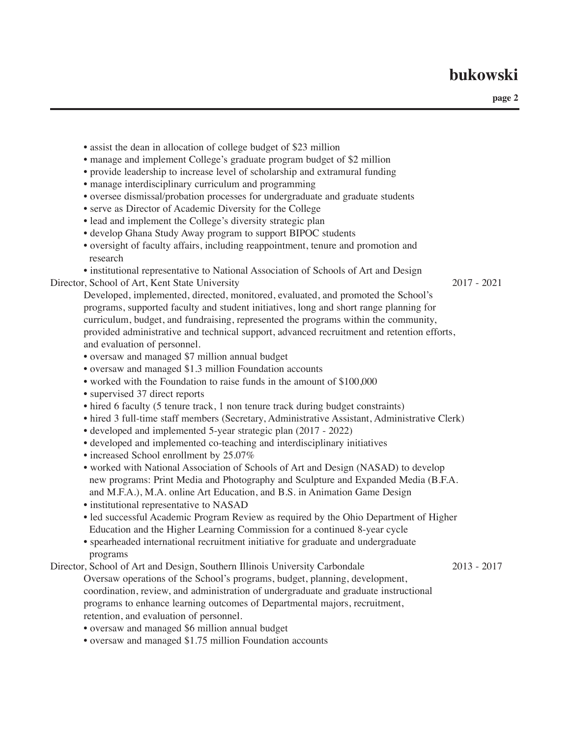- assist the dean in allocation of college budget of \$23 million • manage and implement College's graduate program budget of \$2 million • provide leadership to increase level of scholarship and extramural funding • manage interdisciplinary curriculum and programming • oversee dismissal/probation processes for undergraduate and graduate students • serve as Director of Academic Diversity for the College • lead and implement the College's diversity strategic plan • develop Ghana Study Away program to support BIPOC students • oversight of faculty affairs, including reappointment, tenure and promotion and research • institutional representative to National Association of Schools of Art and Design Director, School of Art, Kent State University 2017 - 2021 Developed, implemented, directed, monitored, evaluated, and promoted the School's programs, supported faculty and student initiatives, long and short range planning for curriculum, budget, and fundraising, represented the programs within the community, provided administrative and technical support, advanced recruitment and retention efforts, and evaluation of personnel. • oversaw and managed \$7 million annual budget • oversaw and managed \$1.3 million Foundation accounts • worked with the Foundation to raise funds in the amount of \$100,000 • supervised 37 direct reports • hired 6 faculty (5 tenure track, 1 non tenure track during budget constraints) • hired 3 full-time staff members (Secretary, Administrative Assistant, Administrative Clerk) • developed and implemented 5-year strategic plan (2017 - 2022) • developed and implemented co-teaching and interdisciplinary initiatives • increased School enrollment by 25.07% • worked with National Association of Schools of Art and Design (NASAD) to develop new programs: Print Media and Photography and Sculpture and Expanded Media (B.F.A. and M.F.A.), M.A. online Art Education, and B.S. in Animation Game Design • institutional representative to NASAD • led successful Academic Program Review as required by the Ohio Department of Higher Education and the Higher Learning Commission for a continued 8-year cycle • spearheaded international recruitment initiative for graduate and undergraduate programs Director, School of Art and Design, Southern Illinois University Carbondale 2013 - 2017 Oversaw operations of the School's programs, budget, planning, development, coordination, review, and administration of undergraduate and graduate instructional programs to enhance learning outcomes of Departmental majors, recruitment, retention, and evaluation of personnel. • oversaw and managed \$6 million annual budget
	- oversaw and managed \$1.75 million Foundation accounts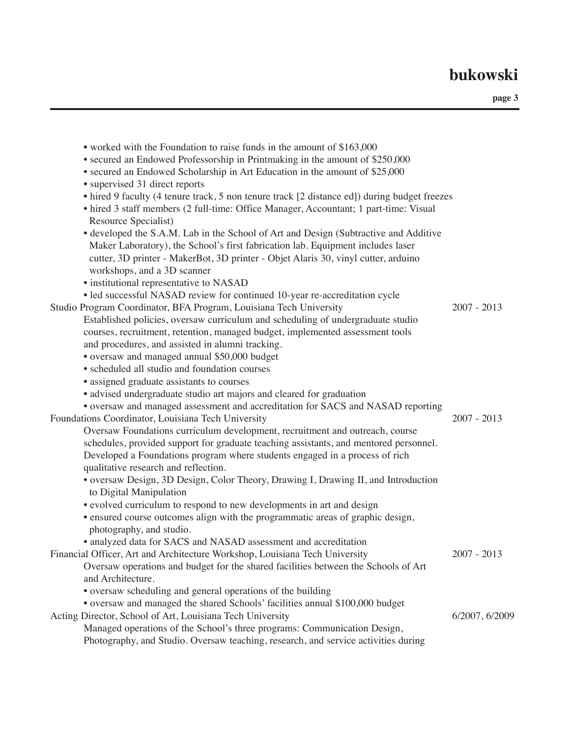| • worked with the Foundation to raise funds in the amount of \$163,000                       |                |
|----------------------------------------------------------------------------------------------|----------------|
| • secured an Endowed Professorship in Printmaking in the amount of \$250,000                 |                |
| • secured an Endowed Scholarship in Art Education in the amount of \$25,000                  |                |
| • supervised 31 direct reports                                                               |                |
| • hired 9 faculty (4 tenure track, 5 non tenure track [2 distance ed]) during budget freezes |                |
| • hired 3 staff members (2 full-time: Office Manager, Accountant; 1 part-time: Visual        |                |
| Resource Specialist)                                                                         |                |
| • developed the S.A.M. Lab in the School of Art and Design (Subtractive and Additive         |                |
| Maker Laboratory), the School's first fabrication lab. Equipment includes laser              |                |
| cutter, 3D printer - MakerBot, 3D printer - Objet Alaris 30, vinyl cutter, arduino           |                |
| workshops, and a 3D scanner                                                                  |                |
| · institutional representative to NASAD                                                      |                |
| • led successful NASAD review for continued 10-year re-accreditation cycle                   |                |
| Studio Program Coordinator, BFA Program, Louisiana Tech University                           | $2007 - 2013$  |
| Established policies, oversaw curriculum and scheduling of undergraduate studio              |                |
| courses, recruitment, retention, managed budget, implemented assessment tools                |                |
| and procedures, and assisted in alumni tracking.                                             |                |
| • oversaw and managed annual \$50,000 budget                                                 |                |
| • scheduled all studio and foundation courses                                                |                |
| • assigned graduate assistants to courses                                                    |                |
| · advised undergraduate studio art majors and cleared for graduation                         |                |
| • oversaw and managed assessment and accreditation for SACS and NASAD reporting              |                |
| Foundations Coordinator, Louisiana Tech University                                           | $2007 - 2013$  |
| Oversaw Foundations curriculum development, recruitment and outreach, course                 |                |
| schedules, provided support for graduate teaching assistants, and mentored personnel.        |                |
| Developed a Foundations program where students engaged in a process of rich                  |                |
| qualitative research and reflection.                                                         |                |
| • oversaw Design, 3D Design, Color Theory, Drawing I, Drawing II, and Introduction           |                |
| to Digital Manipulation                                                                      |                |
| • evolved curriculum to respond to new developments in art and design                        |                |
| • ensured course outcomes align with the programmatic areas of graphic design,               |                |
| photography, and studio.                                                                     |                |
| • analyzed data for SACS and NASAD assessment and accreditation                              |                |
| Financial Officer, Art and Architecture Workshop, Louisiana Tech University                  | $2007 - 2013$  |
| Oversaw operations and budget for the shared facilities between the Schools of Art           |                |
| and Architecture.                                                                            |                |
| • oversaw scheduling and general operations of the building                                  |                |
| • oversaw and managed the shared Schools' facilities annual \$100,000 budget                 |                |
| Acting Director, School of Art, Louisiana Tech University                                    | 6/2007, 6/2009 |
| Managed operations of the School's three programs: Communication Design,                     |                |
| Photography, and Studio. Oversaw teaching, research, and service activities during           |                |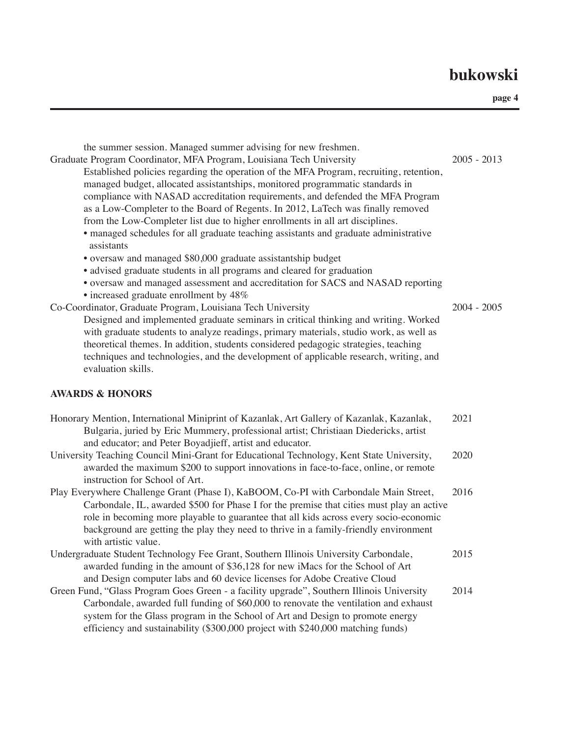| the summer session. Managed summer advising for new freshmen.<br>Graduate Program Coordinator, MFA Program, Louisiana Tech University<br>Established policies regarding the operation of the MFA Program, recruiting, retention,<br>managed budget, allocated assistantships, monitored programmatic standards in<br>compliance with NASAD accreditation requirements, and defended the MFA Program<br>as a Low-Completer to the Board of Regents. In 2012, LaTech was finally removed<br>from the Low-Completer list due to higher enrollments in all art disciplines.<br>· managed schedules for all graduate teaching assistants and graduate administrative<br>assistants                                             | $2005 - 2013$ |
|---------------------------------------------------------------------------------------------------------------------------------------------------------------------------------------------------------------------------------------------------------------------------------------------------------------------------------------------------------------------------------------------------------------------------------------------------------------------------------------------------------------------------------------------------------------------------------------------------------------------------------------------------------------------------------------------------------------------------|---------------|
| • oversaw and managed \$80,000 graduate assistantship budget<br>· advised graduate students in all programs and cleared for graduation<br>• oversaw and managed assessment and accreditation for SACS and NASAD reporting<br>• increased graduate enrollment by 48%<br>Co-Coordinator, Graduate Program, Louisiana Tech University<br>Designed and implemented graduate seminars in critical thinking and writing. Worked<br>with graduate students to analyze readings, primary materials, studio work, as well as<br>theoretical themes. In addition, students considered pedagogic strategies, teaching<br>techniques and technologies, and the development of applicable research, writing, and<br>evaluation skills. | $2004 - 2005$ |
| <b>AWARDS &amp; HONORS</b>                                                                                                                                                                                                                                                                                                                                                                                                                                                                                                                                                                                                                                                                                                |               |
| Honorary Mention, International Miniprint of Kazanlak, Art Gallery of Kazanlak, Kazanlak,<br>Bulgaria, juried by Eric Mummery, professional artist; Christiaan Diedericks, artist<br>and educator; and Peter Boyadjieff, artist and educator.                                                                                                                                                                                                                                                                                                                                                                                                                                                                             | 2021          |
| University Teaching Council Mini-Grant for Educational Technology, Kent State University,<br>awarded the maximum \$200 to support innovations in face-to-face, online, or remote<br>instruction for School of Art.                                                                                                                                                                                                                                                                                                                                                                                                                                                                                                        | 2020          |
| Play Everywhere Challenge Grant (Phase I), KaBOOM, Co-PI with Carbondale Main Street,<br>Carbondale, IL, awarded \$500 for Phase I for the premise that cities must play an active<br>role in becoming more playable to guarantee that all kids across every socio-economic<br>background are getting the play they need to thrive in a family-friendly environment<br>with artistic value.                                                                                                                                                                                                                                                                                                                               | 2016          |
| Undergraduate Student Technology Fee Grant, Southern Illinois University Carbondale,<br>awarded funding in the amount of \$36,128 for new iMacs for the School of Art<br>and Design computer labs and 60 device licenses for Adobe Creative Cloud                                                                                                                                                                                                                                                                                                                                                                                                                                                                         | 2015          |
| Green Fund, "Glass Program Goes Green - a facility upgrade", Southern Illinois University<br>Carbondale, awarded full funding of \$60,000 to renovate the ventilation and exhaust<br>system for the Glass program in the School of Art and Design to promote energy<br>efficiency and sustainability (\$300,000 project with \$240,000 matching funds)                                                                                                                                                                                                                                                                                                                                                                    | 2014          |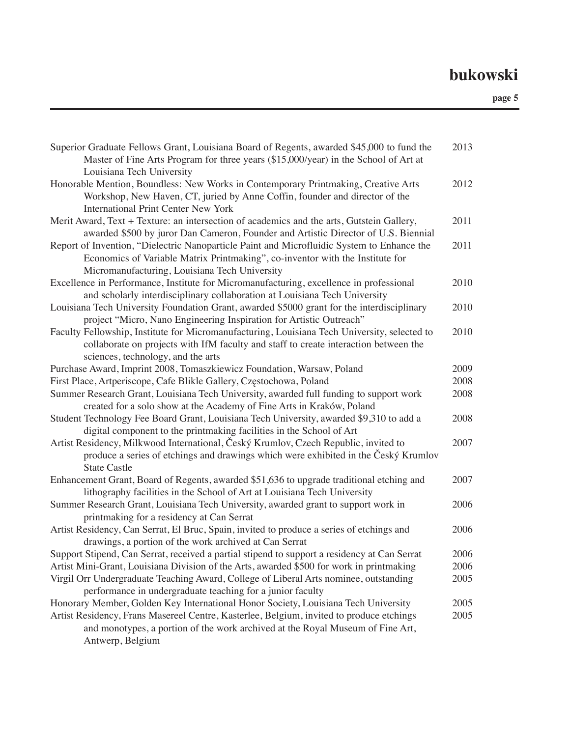| Superior Graduate Fellows Grant, Louisiana Board of Regents, awarded \$45,000 to fund the<br>Master of Fine Arts Program for three years (\$15,000/year) in the School of Art at<br>Louisiana Tech University                | 2013 |
|------------------------------------------------------------------------------------------------------------------------------------------------------------------------------------------------------------------------------|------|
| Honorable Mention, Boundless: New Works in Contemporary Printmaking, Creative Arts<br>Workshop, New Haven, CT, juried by Anne Coffin, founder and director of the<br><b>International Print Center New York</b>              | 2012 |
| Merit Award, Text + Texture: an intersection of academics and the arts, Gutstein Gallery,<br>awarded \$500 by juror Dan Cameron, Founder and Artistic Director of U.S. Biennial                                              | 2011 |
| Report of Invention, "Dielectric Nanoparticle Paint and Microfluidic System to Enhance the<br>Economics of Variable Matrix Printmaking", co-inventor with the Institute for<br>Micromanufacturing, Louisiana Tech University | 2011 |
| Excellence in Performance, Institute for Micromanufacturing, excellence in professional<br>and scholarly interdisciplinary collaboration at Louisiana Tech University                                                        | 2010 |
| Louisiana Tech University Foundation Grant, awarded \$5000 grant for the interdisciplinary<br>project "Micro, Nano Engineering Inspiration for Artistic Outreach"                                                            | 2010 |
| Faculty Fellowship, Institute for Micromanufacturing, Louisiana Tech University, selected to<br>collaborate on projects with IfM faculty and staff to create interaction between the<br>sciences, technology, and the arts   | 2010 |
| Purchase Award, Imprint 2008, Tomaszkiewicz Foundation, Warsaw, Poland                                                                                                                                                       | 2009 |
| First Place, Artperiscope, Cafe Blikle Gallery, Częstochowa, Poland                                                                                                                                                          | 2008 |
| Summer Research Grant, Louisiana Tech University, awarded full funding to support work<br>created for a solo show at the Academy of Fine Arts in Kraków, Poland                                                              | 2008 |
| Student Technology Fee Board Grant, Louisiana Tech University, awarded \$9,310 to add a<br>digital component to the printmaking facilities in the School of Art                                                              | 2008 |
| Artist Residency, Milkwood International, Český Krumlov, Czech Republic, invited to<br>produce a series of etchings and drawings which were exhibited in the Český Krumlov<br><b>State Castle</b>                            | 2007 |
| Enhancement Grant, Board of Regents, awarded \$51,636 to upgrade traditional etching and<br>lithography facilities in the School of Art at Louisiana Tech University                                                         | 2007 |
| Summer Research Grant, Louisiana Tech University, awarded grant to support work in<br>printmaking for a residency at Can Serrat                                                                                              | 2006 |
| Artist Residency, Can Serrat, El Bruc, Spain, invited to produce a series of etchings and<br>drawings, a portion of the work archived at Can Serrat                                                                          | 2006 |
| Support Stipend, Can Serrat, received a partial stipend to support a residency at Can Serrat                                                                                                                                 | 2006 |
| Artist Mini-Grant, Louisiana Division of the Arts, awarded \$500 for work in printmaking                                                                                                                                     | 2006 |
| Virgil Orr Undergraduate Teaching Award, College of Liberal Arts nominee, outstanding<br>performance in undergraduate teaching for a junior faculty                                                                          | 2005 |
| Honorary Member, Golden Key International Honor Society, Louisiana Tech University                                                                                                                                           | 2005 |
| Artist Residency, Frans Masereel Centre, Kasterlee, Belgium, invited to produce etchings<br>and monotypes, a portion of the work archived at the Royal Museum of Fine Art,<br>Antwerp, Belgium                               | 2005 |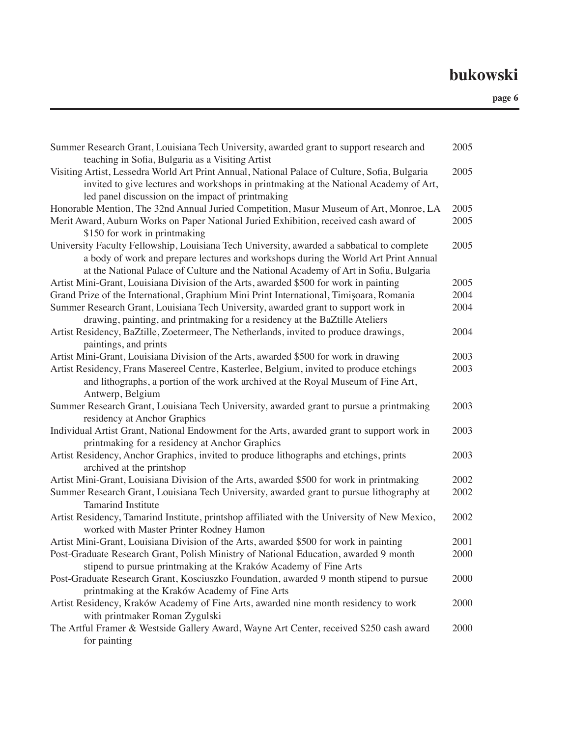| Summer Research Grant, Louisiana Tech University, awarded grant to support research and<br>teaching in Sofia, Bulgaria as a Visiting Artist                                                                                                                               | 2005 |
|---------------------------------------------------------------------------------------------------------------------------------------------------------------------------------------------------------------------------------------------------------------------------|------|
| Visiting Artist, Lessedra World Art Print Annual, National Palace of Culture, Sofia, Bulgaria<br>invited to give lectures and workshops in printmaking at the National Academy of Art,<br>led panel discussion on the impact of printmaking                               | 2005 |
| Honorable Mention, The 32nd Annual Juried Competition, Masur Museum of Art, Monroe, LA                                                                                                                                                                                    | 2005 |
| Merit Award, Auburn Works on Paper National Juried Exhibition, received cash award of                                                                                                                                                                                     | 2005 |
| \$150 for work in printmaking                                                                                                                                                                                                                                             |      |
| University Faculty Fellowship, Louisiana Tech University, awarded a sabbatical to complete<br>a body of work and prepare lectures and workshops during the World Art Print Annual<br>at the National Palace of Culture and the National Academy of Art in Sofia, Bulgaria | 2005 |
| Artist Mini-Grant, Louisiana Division of the Arts, awarded \$500 for work in painting                                                                                                                                                                                     | 2005 |
| Grand Prize of the International, Graphium Mini Print International, Timișoara, Romania                                                                                                                                                                                   | 2004 |
| Summer Research Grant, Louisiana Tech University, awarded grant to support work in                                                                                                                                                                                        | 2004 |
| drawing, painting, and printmaking for a residency at the BaZtille Ateliers                                                                                                                                                                                               |      |
|                                                                                                                                                                                                                                                                           | 2004 |
| Artist Residency, BaZtille, Zoetermeer, The Netherlands, invited to produce drawings,<br>paintings, and prints                                                                                                                                                            |      |
| Artist Mini-Grant, Louisiana Division of the Arts, awarded \$500 for work in drawing                                                                                                                                                                                      | 2003 |
| Artist Residency, Frans Masereel Centre, Kasterlee, Belgium, invited to produce etchings                                                                                                                                                                                  | 2003 |
| and lithographs, a portion of the work archived at the Royal Museum of Fine Art,                                                                                                                                                                                          |      |
| Antwerp, Belgium                                                                                                                                                                                                                                                          |      |
| Summer Research Grant, Louisiana Tech University, awarded grant to pursue a printmaking                                                                                                                                                                                   | 2003 |
| residency at Anchor Graphics                                                                                                                                                                                                                                              |      |
| Individual Artist Grant, National Endowment for the Arts, awarded grant to support work in<br>printmaking for a residency at Anchor Graphics                                                                                                                              | 2003 |
| Artist Residency, Anchor Graphics, invited to produce lithographs and etchings, prints                                                                                                                                                                                    | 2003 |
| archived at the printshop                                                                                                                                                                                                                                                 |      |
| Artist Mini-Grant, Louisiana Division of the Arts, awarded \$500 for work in printmaking                                                                                                                                                                                  | 2002 |
| Summer Research Grant, Louisiana Tech University, awarded grant to pursue lithography at                                                                                                                                                                                  | 2002 |
| <b>Tamarind Institute</b>                                                                                                                                                                                                                                                 |      |
| Artist Residency, Tamarind Institute, printshop affiliated with the University of New Mexico,<br>worked with Master Printer Rodney Hamon                                                                                                                                  | 2002 |
| Artist Mini-Grant, Louisiana Division of the Arts, awarded \$500 for work in painting                                                                                                                                                                                     | 2001 |
| Post-Graduate Research Grant, Polish Ministry of National Education, awarded 9 month                                                                                                                                                                                      | 2000 |
| stipend to pursue printmaking at the Kraków Academy of Fine Arts                                                                                                                                                                                                          |      |
| Post-Graduate Research Grant, Kosciuszko Foundation, awarded 9 month stipend to pursue                                                                                                                                                                                    | 2000 |
| printmaking at the Kraków Academy of Fine Arts                                                                                                                                                                                                                            |      |
| Artist Residency, Kraków Academy of Fine Arts, awarded nine month residency to work                                                                                                                                                                                       | 2000 |
| with printmaker Roman Żygulski                                                                                                                                                                                                                                            |      |
| The Artful Framer & Westside Gallery Award, Wayne Art Center, received \$250 cash award                                                                                                                                                                                   | 2000 |
| for painting                                                                                                                                                                                                                                                              |      |
|                                                                                                                                                                                                                                                                           |      |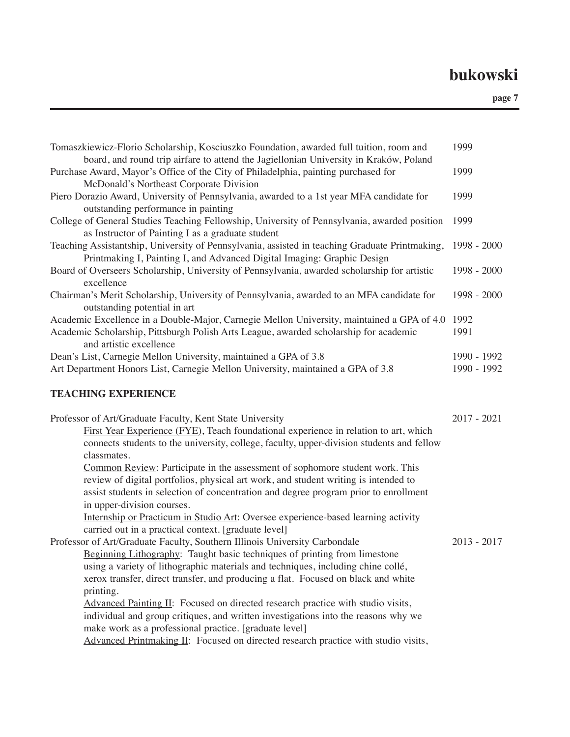| Tomaszkiewicz-Florio Scholarship, Kosciuszko Foundation, awarded full tuition, room and<br>board, and round trip airfare to attend the Jagiellonian University in Kraków, Poland                                                                                                                                                                                                                                                                                                                                                                                                                                                                                                                                                                                                                                                                                                                                                                                                                                                          | 1999                       |
|-------------------------------------------------------------------------------------------------------------------------------------------------------------------------------------------------------------------------------------------------------------------------------------------------------------------------------------------------------------------------------------------------------------------------------------------------------------------------------------------------------------------------------------------------------------------------------------------------------------------------------------------------------------------------------------------------------------------------------------------------------------------------------------------------------------------------------------------------------------------------------------------------------------------------------------------------------------------------------------------------------------------------------------------|----------------------------|
| Purchase Award, Mayor's Office of the City of Philadelphia, painting purchased for<br>McDonald's Northeast Corporate Division                                                                                                                                                                                                                                                                                                                                                                                                                                                                                                                                                                                                                                                                                                                                                                                                                                                                                                             | 1999                       |
| Piero Dorazio Award, University of Pennsylvania, awarded to a 1st year MFA candidate for<br>outstanding performance in painting                                                                                                                                                                                                                                                                                                                                                                                                                                                                                                                                                                                                                                                                                                                                                                                                                                                                                                           | 1999                       |
| College of General Studies Teaching Fellowship, University of Pennsylvania, awarded position<br>as Instructor of Painting I as a graduate student                                                                                                                                                                                                                                                                                                                                                                                                                                                                                                                                                                                                                                                                                                                                                                                                                                                                                         | 1999                       |
| Teaching Assistantship, University of Pennsylvania, assisted in teaching Graduate Printmaking,<br>Printmaking I, Painting I, and Advanced Digital Imaging: Graphic Design                                                                                                                                                                                                                                                                                                                                                                                                                                                                                                                                                                                                                                                                                                                                                                                                                                                                 | 1998 - 2000                |
| Board of Overseers Scholarship, University of Pennsylvania, awarded scholarship for artistic<br>excellence                                                                                                                                                                                                                                                                                                                                                                                                                                                                                                                                                                                                                                                                                                                                                                                                                                                                                                                                | 1998 - 2000                |
| Chairman's Merit Scholarship, University of Pennsylvania, awarded to an MFA candidate for<br>outstanding potential in art                                                                                                                                                                                                                                                                                                                                                                                                                                                                                                                                                                                                                                                                                                                                                                                                                                                                                                                 | 1998 - 2000                |
| Academic Excellence in a Double-Major, Carnegie Mellon University, maintained a GPA of 4.0<br>Academic Scholarship, Pittsburgh Polish Arts League, awarded scholarship for academic<br>and artistic excellence                                                                                                                                                                                                                                                                                                                                                                                                                                                                                                                                                                                                                                                                                                                                                                                                                            | 1992<br>1991               |
| Dean's List, Carnegie Mellon University, maintained a GPA of 3.8<br>Art Department Honors List, Carnegie Mellon University, maintained a GPA of 3.8                                                                                                                                                                                                                                                                                                                                                                                                                                                                                                                                                                                                                                                                                                                                                                                                                                                                                       | 1990 - 1992<br>1990 - 1992 |
| <b>TEACHING EXPERIENCE</b>                                                                                                                                                                                                                                                                                                                                                                                                                                                                                                                                                                                                                                                                                                                                                                                                                                                                                                                                                                                                                |                            |
| Professor of Art/Graduate Faculty, Kent State University<br>First Year Experience (FYE), Teach foundational experience in relation to art, which<br>connects students to the university, college, faculty, upper-division students and fellow                                                                                                                                                                                                                                                                                                                                                                                                                                                                                                                                                                                                                                                                                                                                                                                             | $2017 - 2021$              |
| classmates.<br>Common Review: Participate in the assessment of sophomore student work. This<br>review of digital portfolios, physical art work, and student writing is intended to<br>assist students in selection of concentration and degree program prior to enrollment<br>in upper-division courses.<br>Internship or Practicum in Studio Art: Oversee experience-based learning activity<br>carried out in a practical context. [graduate level]<br>Professor of Art/Graduate Faculty, Southern Illinois University Carbondale<br>Beginning Lithography: Taught basic techniques of printing from limestone<br>using a variety of lithographic materials and techniques, including chine collé,<br>xerox transfer, direct transfer, and producing a flat. Focused on black and white<br>printing.<br>Advanced Painting II: Focused on directed research practice with studio visits,<br>individual and group critiques, and written investigations into the reasons why we<br>make work as a professional practice. [graduate level] | $2013 - 2017$              |
| Advanced Printmaking II: Focused on directed research practice with studio visits,                                                                                                                                                                                                                                                                                                                                                                                                                                                                                                                                                                                                                                                                                                                                                                                                                                                                                                                                                        |                            |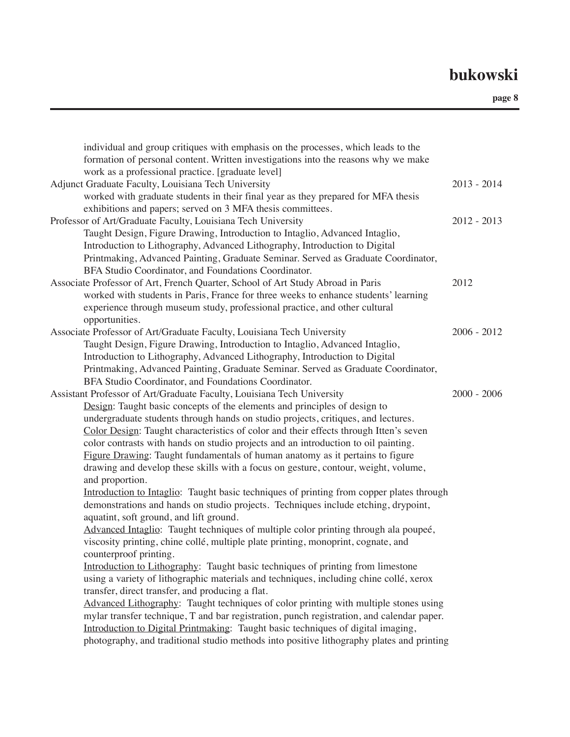| individual and group critiques with emphasis on the processes, which leads to the<br>formation of personal content. Written investigations into the reasons why we make<br>work as a professional practice. [graduate level]                                                                                                                                                                                                                                                                                                                                                                                                                                                                                                                                                                                                                                                                                                                                                                                                                                                                                                                                                                                                                                                                                                                                                                                                                                                                                                                                                                                                                                |               |
|-------------------------------------------------------------------------------------------------------------------------------------------------------------------------------------------------------------------------------------------------------------------------------------------------------------------------------------------------------------------------------------------------------------------------------------------------------------------------------------------------------------------------------------------------------------------------------------------------------------------------------------------------------------------------------------------------------------------------------------------------------------------------------------------------------------------------------------------------------------------------------------------------------------------------------------------------------------------------------------------------------------------------------------------------------------------------------------------------------------------------------------------------------------------------------------------------------------------------------------------------------------------------------------------------------------------------------------------------------------------------------------------------------------------------------------------------------------------------------------------------------------------------------------------------------------------------------------------------------------------------------------------------------------|---------------|
| Adjunct Graduate Faculty, Louisiana Tech University<br>worked with graduate students in their final year as they prepared for MFA thesis<br>exhibitions and papers; served on 3 MFA thesis committees.                                                                                                                                                                                                                                                                                                                                                                                                                                                                                                                                                                                                                                                                                                                                                                                                                                                                                                                                                                                                                                                                                                                                                                                                                                                                                                                                                                                                                                                      | $2013 - 2014$ |
| Professor of Art/Graduate Faculty, Louisiana Tech University<br>Taught Design, Figure Drawing, Introduction to Intaglio, Advanced Intaglio,<br>Introduction to Lithography, Advanced Lithography, Introduction to Digital<br>Printmaking, Advanced Painting, Graduate Seminar. Served as Graduate Coordinator,<br>BFA Studio Coordinator, and Foundations Coordinator.                                                                                                                                                                                                                                                                                                                                                                                                                                                                                                                                                                                                                                                                                                                                                                                                                                                                                                                                                                                                                                                                                                                                                                                                                                                                                      | $2012 - 2013$ |
| Associate Professor of Art, French Quarter, School of Art Study Abroad in Paris<br>worked with students in Paris, France for three weeks to enhance students' learning<br>experience through museum study, professional practice, and other cultural<br>opportunities.                                                                                                                                                                                                                                                                                                                                                                                                                                                                                                                                                                                                                                                                                                                                                                                                                                                                                                                                                                                                                                                                                                                                                                                                                                                                                                                                                                                      | 2012          |
| Associate Professor of Art/Graduate Faculty, Louisiana Tech University<br>Taught Design, Figure Drawing, Introduction to Intaglio, Advanced Intaglio,<br>Introduction to Lithography, Advanced Lithography, Introduction to Digital<br>Printmaking, Advanced Painting, Graduate Seminar. Served as Graduate Coordinator,<br>BFA Studio Coordinator, and Foundations Coordinator.                                                                                                                                                                                                                                                                                                                                                                                                                                                                                                                                                                                                                                                                                                                                                                                                                                                                                                                                                                                                                                                                                                                                                                                                                                                                            | $2006 - 2012$ |
| Assistant Professor of Art/Graduate Faculty, Louisiana Tech University<br>Design: Taught basic concepts of the elements and principles of design to<br>undergraduate students through hands on studio projects, critiques, and lectures.<br>Color Design: Taught characteristics of color and their effects through Itten's seven<br>color contrasts with hands on studio projects and an introduction to oil painting.<br>Figure Drawing: Taught fundamentals of human anatomy as it pertains to figure<br>drawing and develop these skills with a focus on gesture, contour, weight, volume,<br>and proportion.<br>Introduction to Intaglio: Taught basic techniques of printing from copper plates through<br>demonstrations and hands on studio projects. Techniques include etching, drypoint,<br>aquatint, soft ground, and lift ground.<br>Advanced Intaglio: Taught techniques of multiple color printing through ala poupeé,<br>viscosity printing, chine collé, multiple plate printing, monoprint, cognate, and<br>counterproof printing.<br>Introduction to Lithography: Taught basic techniques of printing from limestone<br>using a variety of lithographic materials and techniques, including chine collé, xerox<br>transfer, direct transfer, and producing a flat.<br>Advanced Lithography: Taught techniques of color printing with multiple stones using<br>mylar transfer technique, T and bar registration, punch registration, and calendar paper.<br>Introduction to Digital Printmaking: Taught basic techniques of digital imaging,<br>photography, and traditional studio methods into positive lithography plates and printing | $2000 - 2006$ |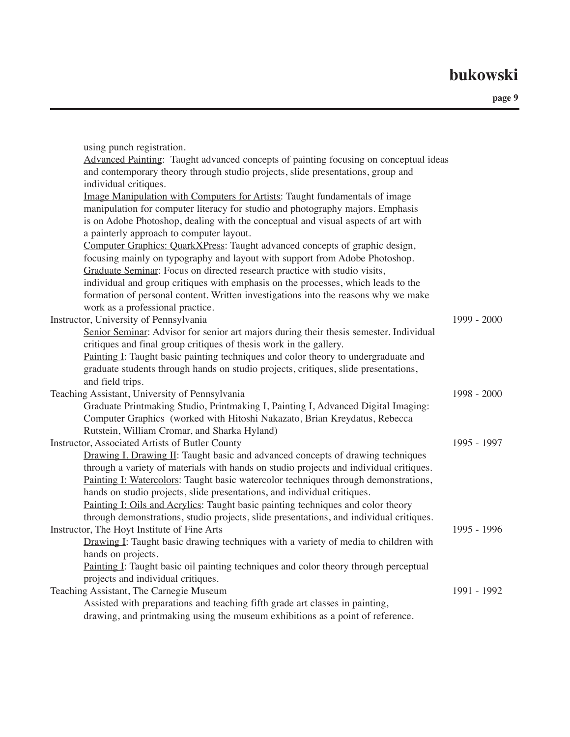| using punch registration.                                                               |               |
|-----------------------------------------------------------------------------------------|---------------|
| Advanced Painting: Taught advanced concepts of painting focusing on conceptual ideas    |               |
| and contemporary theory through studio projects, slide presentations, group and         |               |
| individual critiques.                                                                   |               |
| Image Manipulation with Computers for Artists: Taught fundamentals of image             |               |
| manipulation for computer literacy for studio and photography majors. Emphasis          |               |
| is on Adobe Photoshop, dealing with the conceptual and visual aspects of art with       |               |
| a painterly approach to computer layout.                                                |               |
| Computer Graphics: QuarkXPress: Taught advanced concepts of graphic design,             |               |
| focusing mainly on typography and layout with support from Adobe Photoshop.             |               |
| Graduate Seminar: Focus on directed research practice with studio visits,               |               |
| individual and group critiques with emphasis on the processes, which leads to the       |               |
| formation of personal content. Written investigations into the reasons why we make      |               |
| work as a professional practice.                                                        |               |
| Instructor, University of Pennsylvania                                                  | 1999 - 2000   |
| Senior Seminar: Advisor for senior art majors during their thesis semester. Individual  |               |
| critiques and final group critiques of thesis work in the gallery.                      |               |
| Painting I: Taught basic painting techniques and color theory to undergraduate and      |               |
| graduate students through hands on studio projects, critiques, slide presentations,     |               |
| and field trips.                                                                        |               |
| Teaching Assistant, University of Pennsylvania                                          | $1998 - 2000$ |
| Graduate Printmaking Studio, Printmaking I, Painting I, Advanced Digital Imaging:       |               |
| Computer Graphics (worked with Hitoshi Nakazato, Brian Kreydatus, Rebecca               |               |
| Rutstein, William Cromar, and Sharka Hyland)                                            |               |
| Instructor, Associated Artists of Butler County                                         | 1995 - 1997   |
| Drawing I, Drawing II: Taught basic and advanced concepts of drawing techniques         |               |
| through a variety of materials with hands on studio projects and individual critiques.  |               |
| Painting I: Watercolors: Taught basic watercolor techniques through demonstrations,     |               |
| hands on studio projects, slide presentations, and individual critiques.                |               |
| Painting I: Oils and Acrylics: Taught basic painting techniques and color theory        |               |
| through demonstrations, studio projects, slide presentations, and individual critiques. |               |
| Instructor, The Hoyt Institute of Fine Arts                                             | 1995 - 1996   |
| Drawing I: Taught basic drawing techniques with a variety of media to children with     |               |
| hands on projects.                                                                      |               |
| Painting I: Taught basic oil painting techniques and color theory through perceptual    |               |
| projects and individual critiques.                                                      |               |
| Teaching Assistant, The Carnegie Museum                                                 | 1991 - 1992   |
| Assisted with preparations and teaching fifth grade art classes in painting,            |               |
| drawing, and printmaking using the museum exhibitions as a point of reference.          |               |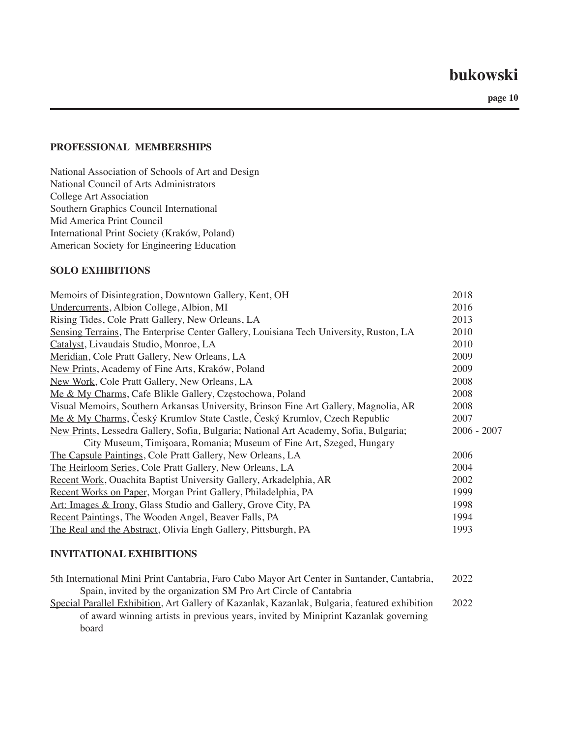**page 10**

#### **PROFESSIONAL MEMBERSHIPS**

National Association of Schools of Art and Design National Council of Arts Administrators College Art Association Southern Graphics Council International Mid America Print Council International Print Society (Kraków, Poland) American Society for Engineering Education

#### **SOLO EXHIBITIONS**

| Memoirs of Disintegration, Downtown Gallery, Kent, OH                                  | 2018          |
|----------------------------------------------------------------------------------------|---------------|
| Undercurrents, Albion College, Albion, MI                                              | 2016          |
| Rising Tides, Cole Pratt Gallery, New Orleans, LA                                      | 2013          |
| Sensing Terrains, The Enterprise Center Gallery, Louisiana Tech University, Ruston, LA | 2010          |
| Catalyst, Livaudais Studio, Monroe, LA                                                 | 2010          |
| Meridian, Cole Pratt Gallery, New Orleans, LA                                          | 2009          |
| New Prints, Academy of Fine Arts, Kraków, Poland                                       | 2009          |
| New Work, Cole Pratt Gallery, New Orleans, LA                                          | 2008          |
| Me & My Charms, Cafe Blikle Gallery, Częstochowa, Poland                               | 2008          |
| Visual Memoirs, Southern Arkansas University, Brinson Fine Art Gallery, Magnolia, AR   | 2008          |
| Me & My Charms, Český Krumlov State Castle, Český Krumlov, Czech Republic              | 2007          |
| New Prints, Lessedra Gallery, Sofia, Bulgaria; National Art Academy, Sofia, Bulgaria;  | $2006 - 2007$ |
| City Museum, Timișoara, Romania; Museum of Fine Art, Szeged, Hungary                   |               |
| The Capsule Paintings, Cole Pratt Gallery, New Orleans, LA                             | 2006          |
| The Heirloom Series, Cole Pratt Gallery, New Orleans, LA                               | 2004          |
| Recent Work, Ouachita Baptist University Gallery, Arkadelphia, AR                      | 2002          |
| Recent Works on Paper, Morgan Print Gallery, Philadelphia, PA                          | 1999          |
| Art: Images & Irony, Glass Studio and Gallery, Grove City, PA                          | 1998          |
| Recent Paintings, The Wooden Angel, Beaver Falls, PA                                   | 1994          |
| The Real and the Abstract, Olivia Engh Gallery, Pittsburgh, PA                         | 1993          |
|                                                                                        |               |

#### **INVITATIONAL EXHIBITIONS**

| 5th International Mini Print Cantabria, Faro Cabo Mayor Art Center in Santander, Cantabria,   | 2022 |
|-----------------------------------------------------------------------------------------------|------|
| Spain, invited by the organization SM Pro Art Circle of Cantabria                             |      |
| Special Parallel Exhibition, Art Gallery of Kazanlak, Kazanlak, Bulgaria, featured exhibition | 2022 |
| of award winning artists in previous years, invited by Miniprint Kazanlak governing           |      |
| board                                                                                         |      |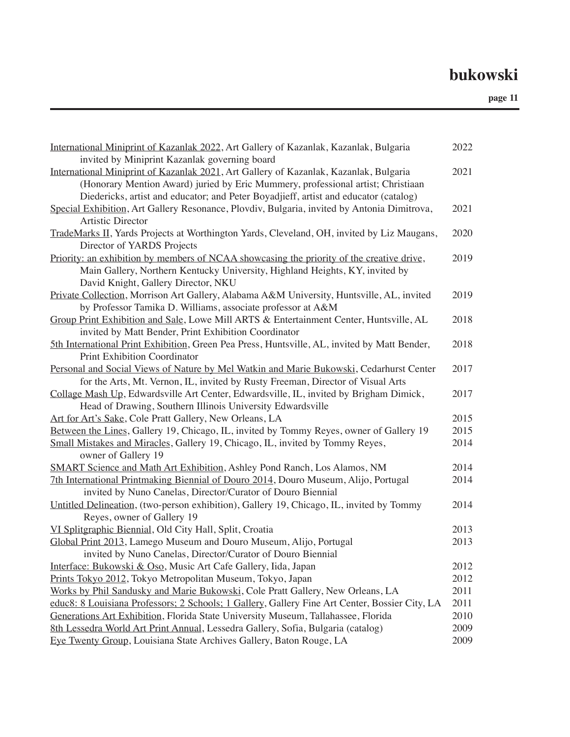| invited by Miniprint Kazanlak governing board                                                                                    |
|----------------------------------------------------------------------------------------------------------------------------------|
| International Miniprint of Kazanlak 2021, Art Gallery of Kazanlak, Kazanlak, Bulgaria<br>2021                                    |
| (Honorary Mention Award) juried by Eric Mummery, professional artist; Christiaan                                                 |
| Diedericks, artist and educator; and Peter Boyadjieff, artist and educator (catalog)                                             |
| Special Exhibition, Art Gallery Resonance, Plovdiv, Bulgaria, invited by Antonia Dimitrova,<br>2021                              |
| Artistic Director                                                                                                                |
| 2020<br>TradeMarks II, Yards Projects at Worthington Yards, Cleveland, OH, invited by Liz Maugans,<br>Director of YARDS Projects |
| Priority: an exhibition by members of NCAA showcasing the priority of the creative drive,<br>2019                                |
| Main Gallery, Northern Kentucky University, Highland Heights, KY, invited by                                                     |
| David Knight, Gallery Director, NKU                                                                                              |
| Private Collection, Morrison Art Gallery, Alabama A&M University, Huntsville, AL, invited<br>2019                                |
| by Professor Tamika D. Williams, associate professor at A&M                                                                      |
| Group Print Exhibition and Sale, Lowe Mill ARTS & Entertainment Center, Huntsville, AL<br>2018                                   |
| invited by Matt Bender, Print Exhibition Coordinator                                                                             |
| 5th International Print Exhibition, Green Pea Press, Huntsville, AL, invited by Matt Bender,<br>2018                             |
| <b>Print Exhibition Coordinator</b>                                                                                              |
| Personal and Social Views of Nature by Mel Watkin and Marie Bukowski, Cedarhurst Center<br>2017                                  |
| for the Arts, Mt. Vernon, IL, invited by Rusty Freeman, Director of Visual Arts                                                  |
| Collage Mash Up, Edwardsville Art Center, Edwardsville, IL, invited by Brigham Dimick,<br>2017                                   |
| Head of Drawing, Southern Illinois University Edwardsville                                                                       |
| Art for Art's Sake, Cole Pratt Gallery, New Orleans, LA<br>2015                                                                  |
| Between the Lines, Gallery 19, Chicago, IL, invited by Tommy Reyes, owner of Gallery 19<br>2015                                  |
| Small Mistakes and Miracles, Gallery 19, Chicago, IL, invited by Tommy Reyes,<br>2014                                            |
| owner of Gallery 19                                                                                                              |
| SMART Science and Math Art Exhibition, Ashley Pond Ranch, Los Alamos, NM<br>2014                                                 |
| 7th International Printmaking Biennial of Douro 2014, Douro Museum, Alijo, Portugal<br>2014                                      |
| invited by Nuno Canelas, Director/Curator of Douro Biennial                                                                      |
| Untitled Delineation, (two-person exhibition), Gallery 19, Chicago, IL, invited by Tommy<br>2014                                 |
| Reyes, owner of Gallery 19                                                                                                       |
| VI Splitgraphic Biennial, Old City Hall, Split, Croatia<br>2013                                                                  |
| Global Print 2013, Lamego Museum and Douro Museum, Alijo, Portugal<br>2013                                                       |
| invited by Nuno Canelas, Director/Curator of Douro Biennial                                                                      |
| Interface: Bukowski & Oso, Music Art Cafe Gallery, Iida, Japan<br>2012                                                           |
| Prints Tokyo 2012, Tokyo Metropolitan Museum, Tokyo, Japan<br>2012                                                               |
| Works by Phil Sandusky and Marie Bukowski, Cole Pratt Gallery, New Orleans, LA<br>2011                                           |
| 2011<br>educ8: 8 Louisiana Professors; 2 Schools; 1 Gallery, Gallery Fine Art Center, Bossier City, LA                           |
| 2010<br>Generations Art Exhibition, Florida State University Museum, Tallahassee, Florida                                        |
| 8th Lessedra World Art Print Annual, Lessedra Gallery, Sofia, Bulgaria (catalog)<br>2009                                         |
| Eye Twenty Group, Louisiana State Archives Gallery, Baton Rouge, LA<br>2009                                                      |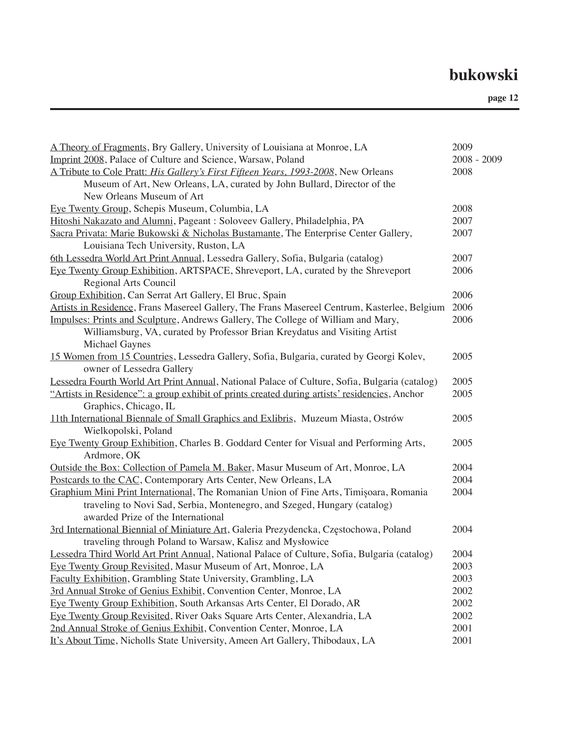| A Theory of Fragments, Bry Gallery, University of Louisiana at Monroe, LA                     | 2009          |  |
|-----------------------------------------------------------------------------------------------|---------------|--|
| Imprint 2008, Palace of Culture and Science, Warsaw, Poland                                   | $2008 - 2009$ |  |
| A Tribute to Cole Pratt: His Gallery's First Fifteen Years, 1993-2008, New Orleans            | 2008          |  |
| Museum of Art, New Orleans, LA, curated by John Bullard, Director of the                      |               |  |
| New Orleans Museum of Art                                                                     |               |  |
| Eye Twenty Group, Schepis Museum, Columbia, LA                                                | 2008          |  |
| Hitoshi Nakazato and Alumni, Pageant: Soloveev Gallery, Philadelphia, PA                      | 2007          |  |
| Sacra Privata: Marie Bukowski & Nicholas Bustamante, The Enterprise Center Gallery,           | 2007          |  |
| Louisiana Tech University, Ruston, LA                                                         |               |  |
| 6th Lessedra World Art Print Annual, Lessedra Gallery, Sofia, Bulgaria (catalog)              | 2007          |  |
| Eye Twenty Group Exhibition, ARTSPACE, Shreveport, LA, curated by the Shreveport              | 2006          |  |
| <b>Regional Arts Council</b>                                                                  |               |  |
| Group Exhibition, Can Serrat Art Gallery, El Bruc, Spain                                      | 2006          |  |
| Artists in Residence, Frans Masereel Gallery, The Frans Masereel Centrum, Kasterlee, Belgium  | 2006          |  |
| Impulses: Prints and Sculpture, Andrews Gallery, The College of William and Mary,             | 2006          |  |
| Williamsburg, VA, curated by Professor Brian Kreydatus and Visiting Artist                    |               |  |
| Michael Gaynes                                                                                |               |  |
| 15 Women from 15 Countries, Lessedra Gallery, Sofia, Bulgaria, curated by Georgi Kolev,       | 2005          |  |
| owner of Lessedra Gallery                                                                     |               |  |
| Lessedra Fourth World Art Print Annual, National Palace of Culture, Sofia, Bulgaria (catalog) | 2005          |  |
| "Artists in Residence": a group exhibit of prints created during artists' residencies, Anchor | 2005          |  |
| Graphics, Chicago, IL                                                                         |               |  |
| 11th International Biennale of Small Graphics and Exlibris, Muzeum Miasta, Ostrów             | 2005          |  |
| Wielkopolski, Poland                                                                          |               |  |
| Eye Twenty Group Exhibition, Charles B. Goddard Center for Visual and Performing Arts,        | 2005          |  |
| Ardmore, OK                                                                                   |               |  |
| Outside the Box: Collection of Pamela M. Baker, Masur Museum of Art, Monroe, LA               | 2004          |  |
| Postcards to the CAC, Contemporary Arts Center, New Orleans, LA                               | 2004          |  |
| Graphium Mini Print International, The Romanian Union of Fine Arts, Timișoara, Romania        | 2004          |  |
| traveling to Novi Sad, Serbia, Montenegro, and Szeged, Hungary (catalog)                      |               |  |
| awarded Prize of the International                                                            |               |  |
| 3rd International Biennial of Miniature Art, Galeria Prezydencka, Częstochowa, Poland         | 2004          |  |
| traveling through Poland to Warsaw, Kalisz and Mysłowice                                      |               |  |
| Lessedra Third World Art Print Annual, National Palace of Culture, Sofia, Bulgaria (catalog)  | 2004          |  |
| Eye Twenty Group Revisited, Masur Museum of Art, Monroe, LA                                   | 2003          |  |
| Faculty Exhibition, Grambling State University, Grambling, LA                                 | 2003          |  |
| 3rd Annual Stroke of Genius Exhibit, Convention Center, Monroe, LA                            | 2002          |  |
| Eye Twenty Group Exhibition, South Arkansas Arts Center, El Dorado, AR                        | 2002          |  |
| Eye Twenty Group Revisited, River Oaks Square Arts Center, Alexandria, LA                     | 2002          |  |
| 2nd Annual Stroke of Genius Exhibit, Convention Center, Monroe, LA                            | 2001          |  |
| It's About Time, Nicholls State University, Ameen Art Gallery, Thibodaux, LA                  | 2001          |  |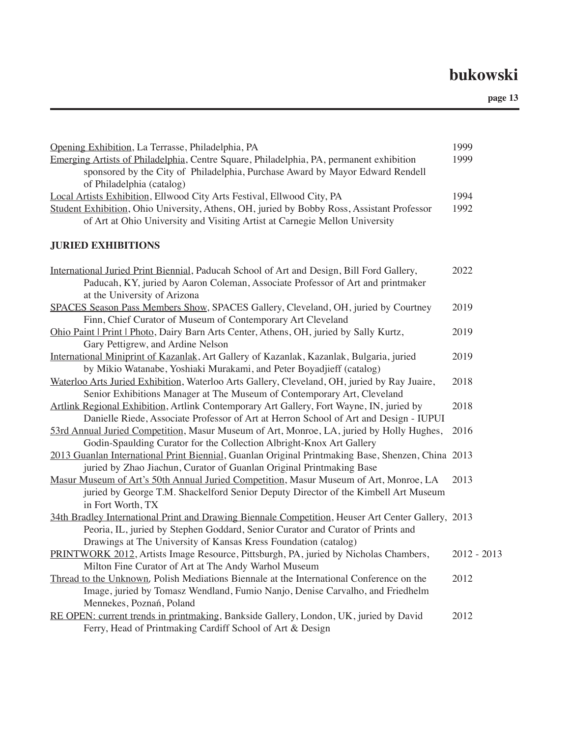| Opening Exhibition, La Terrasse, Philadelphia, PA                                                                                                                                                                                                        | 1999        |
|----------------------------------------------------------------------------------------------------------------------------------------------------------------------------------------------------------------------------------------------------------|-------------|
| Emerging Artists of Philadelphia, Centre Square, Philadelphia, PA, permanent exhibition<br>sponsored by the City of Philadelphia, Purchase Award by Mayor Edward Rendell<br>of Philadelphia (catalog)                                                    | 1999        |
| Local Artists Exhibition, Ellwood City Arts Festival, Ellwood City, PA                                                                                                                                                                                   | 1994        |
| Student Exhibition, Ohio University, Athens, OH, juried by Bobby Ross, Assistant Professor<br>of Art at Ohio University and Visiting Artist at Carnegie Mellon University                                                                                | 1992        |
| <b>JURIED EXHIBITIONS</b>                                                                                                                                                                                                                                |             |
| International Juried Print Biennial, Paducah School of Art and Design, Bill Ford Gallery,<br>Paducah, KY, juried by Aaron Coleman, Associate Professor of Art and printmaker<br>at the University of Arizona                                             | 2022        |
| SPACES Season Pass Members Show, SPACES Gallery, Cleveland, OH, juried by Courtney<br>Finn, Chief Curator of Museum of Contemporary Art Cleveland                                                                                                        | 2019        |
| Ohio Paint   Print   Photo, Dairy Barn Arts Center, Athens, OH, juried by Sally Kurtz,<br>Gary Pettigrew, and Ardine Nelson                                                                                                                              | 2019        |
| International Miniprint of Kazanlak, Art Gallery of Kazanlak, Kazanlak, Bulgaria, juried<br>by Mikio Watanabe, Yoshiaki Murakami, and Peter Boyadjieff (catalog)                                                                                         | 2019        |
| Waterloo Arts Juried Exhibition, Waterloo Arts Gallery, Cleveland, OH, juried by Ray Juaire,<br>Senior Exhibitions Manager at The Museum of Contemporary Art, Cleveland                                                                                  | 2018        |
| Artlink Regional Exhibition, Artlink Contemporary Art Gallery, Fort Wayne, IN, juried by<br>Danielle Riede, Associate Professor of Art at Herron School of Art and Design - IUPUI                                                                        | 2018        |
| 53rd Annual Juried Competition, Masur Museum of Art, Monroe, LA, juried by Holly Hughes,<br>Godin-Spaulding Curator for the Collection Albright-Knox Art Gallery                                                                                         | 2016        |
| 2013 Guanlan International Print Biennial, Guanlan Original Printmaking Base, Shenzen, China 2013<br>juried by Zhao Jiachun, Curator of Guanlan Original Printmaking Base                                                                                |             |
| Masur Museum of Art's 50th Annual Juried Competition, Masur Museum of Art, Monroe, LA<br>juried by George T.M. Shackelford Senior Deputy Director of the Kimbell Art Museum<br>in Fort Worth, TX                                                         | 2013        |
| 34th Bradley International Print and Drawing Biennale Competition, Heuser Art Center Gallery, 2013<br>Peoria, IL, juried by Stephen Goddard, Senior Curator and Curator of Prints and<br>Drawings at The University of Kansas Kress Foundation (catalog) |             |
| PRINTWORK 2012, Artists Image Resource, Pittsburgh, PA, juried by Nicholas Chambers,<br>Milton Fine Curator of Art at The Andy Warhol Museum                                                                                                             | 2012 - 2013 |
| Thread to the Unknown, Polish Mediations Biennale at the International Conference on the<br>Image, juried by Tomasz Wendland, Fumio Nanjo, Denise Carvalho, and Friedhelm<br>Mennekes, Poznań, Poland                                                    | 2012        |
| RE OPEN: current trends in printmaking, Bankside Gallery, London, UK, juried by David<br>Ferry, Head of Printmaking Cardiff School of Art & Design                                                                                                       | 2012        |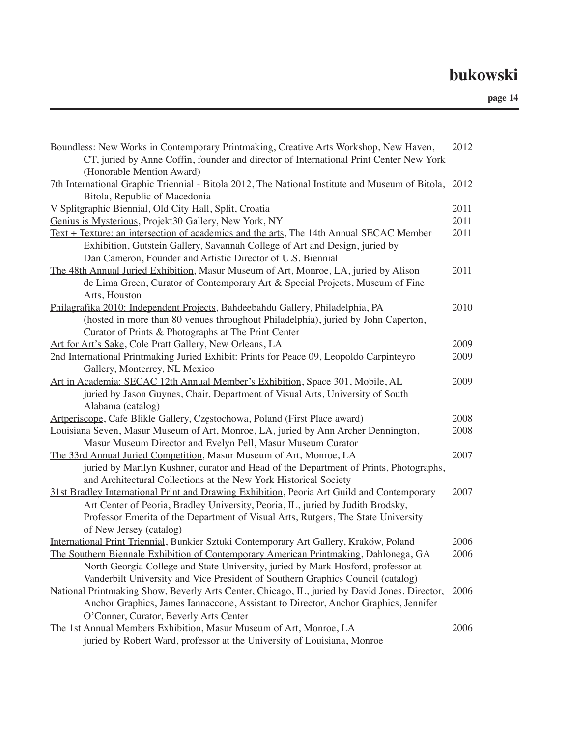| Boundless: New Works in Contemporary Printmaking, Creative Arts Workshop, New Haven,            | 2012 |
|-------------------------------------------------------------------------------------------------|------|
| CT, juried by Anne Coffin, founder and director of International Print Center New York          |      |
| (Honorable Mention Award)                                                                       |      |
| 7th International Graphic Triennial - Bitola 2012, The National Institute and Museum of Bitola, | 2012 |
| Bitola, Republic of Macedonia                                                                   |      |
| V Splitgraphic Biennial, Old City Hall, Split, Croatia                                          | 2011 |
| Genius is Mysterious, Projekt30 Gallery, New York, NY                                           | 2011 |
| Text + Texture: an intersection of academics and the arts, The 14th Annual SECAC Member         | 2011 |
| Exhibition, Gutstein Gallery, Savannah College of Art and Design, juried by                     |      |
| Dan Cameron, Founder and Artistic Director of U.S. Biennial                                     |      |
| The 48th Annual Juried Exhibition, Masur Museum of Art, Monroe, LA, juried by Alison            | 2011 |
| de Lima Green, Curator of Contemporary Art & Special Projects, Museum of Fine                   |      |
| Arts, Houston                                                                                   |      |
| Philagrafika 2010: Independent Projects, Bahdeebahdu Gallery, Philadelphia, PA                  | 2010 |
| (hosted in more than 80 venues throughout Philadelphia), juried by John Caperton,               |      |
| Curator of Prints & Photographs at The Print Center                                             |      |
| Art for Art's Sake, Cole Pratt Gallery, New Orleans, LA                                         | 2009 |
| 2nd International Printmaking Juried Exhibit: Prints for Peace 09, Leopoldo Carpinteyro         | 2009 |
| Gallery, Monterrey, NL Mexico                                                                   |      |
| Art in Academia: SECAC 12th Annual Member's Exhibition, Space 301, Mobile, AL                   | 2009 |
| juried by Jason Guynes, Chair, Department of Visual Arts, University of South                   |      |
| Alabama (catalog)                                                                               |      |
| Artperiscope, Cafe Blikle Gallery, Częstochowa, Poland (First Place award)                      | 2008 |
| Louisiana Seven, Masur Museum of Art, Monroe, LA, juried by Ann Archer Dennington,              | 2008 |
| Masur Museum Director and Evelyn Pell, Masur Museum Curator                                     |      |
| The 33rd Annual Juried Competition, Masur Museum of Art, Monroe, LA                             | 2007 |
| juried by Marilyn Kushner, curator and Head of the Department of Prints, Photographs,           |      |
| and Architectural Collections at the New York Historical Society                                |      |
| 31st Bradley International Print and Drawing Exhibition, Peoria Art Guild and Contemporary      | 2007 |
| Art Center of Peoria, Bradley University, Peoria, IL, juried by Judith Brodsky,                 |      |
| Professor Emerita of the Department of Visual Arts, Rutgers, The State University               |      |
| of New Jersey (catalog)                                                                         |      |
| International Print Triennial, Bunkier Sztuki Contemporary Art Gallery, Kraków, Poland          | 2006 |
| The Southern Biennale Exhibition of Contemporary American Printmaking, Dahlonega, GA            | 2006 |
| North Georgia College and State University, juried by Mark Hosford, professor at                |      |
| Vanderbilt University and Vice President of Southern Graphics Council (catalog)                 |      |
| National Printmaking Show, Beverly Arts Center, Chicago, IL, juried by David Jones, Director,   | 2006 |
| Anchor Graphics, James Iannaccone, Assistant to Director, Anchor Graphics, Jennifer             |      |
| O'Conner, Curator, Beverly Arts Center                                                          |      |
| The 1st Annual Members Exhibition, Masur Museum of Art, Monroe, LA                              | 2006 |
| juried by Robert Ward, professor at the University of Louisiana, Monroe                         |      |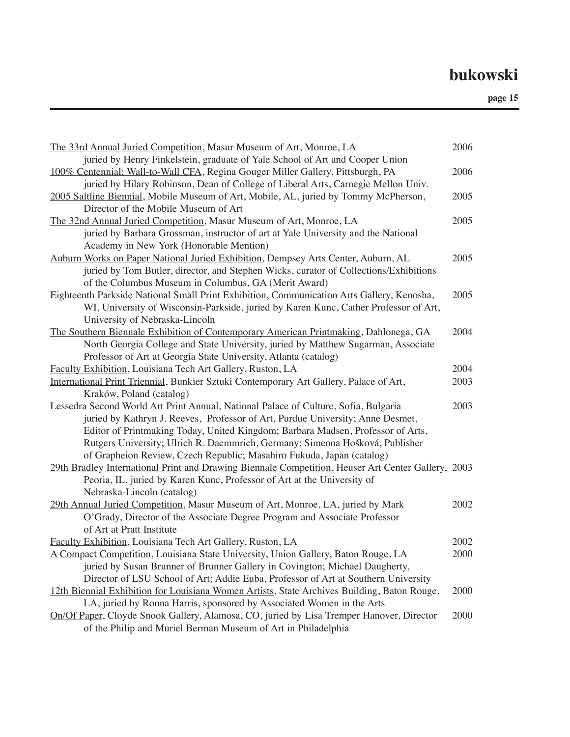| The 33rd Annual Juried Competition, Masur Museum of Art, Monroe, LA                                | 2006 |
|----------------------------------------------------------------------------------------------------|------|
| juried by Henry Finkelstein, graduate of Yale School of Art and Cooper Union                       |      |
| 100% Centennial: Wall-to-Wall CFA, Regina Gouger Miller Gallery, Pittsburgh, PA                    | 2006 |
| juried by Hilary Robinson, Dean of College of Liberal Arts, Carnegie Mellon Univ.                  |      |
| 2005 Saltline Biennial, Mobile Museum of Art, Mobile, AL, juried by Tommy McPherson,               | 2005 |
| Director of the Mobile Museum of Art                                                               |      |
| The 32nd Annual Juried Competition, Masur Museum of Art, Monroe, LA                                | 2005 |
| juried by Barbara Grossman, instructor of art at Yale University and the National                  |      |
| Academy in New York (Honorable Mention)                                                            |      |
| Auburn Works on Paper National Juried Exhibition, Dempsey Arts Center, Auburn, AL                  | 2005 |
| juried by Tom Butler, director, and Stephen Wicks, curator of Collections/Exhibitions              |      |
| of the Columbus Museum in Columbus, GA (Merit Award)                                               |      |
| Eighteenth Parkside National Small Print Exhibition, Communication Arts Gallery, Kenosha,          | 2005 |
| WI, University of Wisconsin-Parkside, juried by Karen Kunc, Cather Professor of Art,               |      |
| University of Nebraska-Lincoln                                                                     |      |
| The Southern Biennale Exhibition of Contemporary American Printmaking, Dahlonega, GA               | 2004 |
| North Georgia College and State University, juried by Matthew Sugarman, Associate                  |      |
| Professor of Art at Georgia State University, Atlanta (catalog)                                    |      |
| Faculty Exhibition, Louisiana Tech Art Gallery, Ruston, LA                                         | 2004 |
| International Print Triennial, Bunkier Sztuki Contemporary Art Gallery, Palace of Art,             | 2003 |
| Kraków, Poland (catalog)                                                                           |      |
| Lessedra Second World Art Print Annual, National Palace of Culture, Sofia, Bulgaria                | 2003 |
| juried by Kathryn J. Reeves, Professor of Art, Purdue University; Anne Desmet,                     |      |
| Editor of Printmaking Today, United Kingdom; Barbara Madsen, Professor of Arts,                    |      |
| Rutgers University; Ulrich R. Daemmrich, Germany; Simeona Hošková, Publisher                       |      |
| of Grapheion Review, Czech Republic; Masahiro Fukuda, Japan (catalog)                              |      |
| 29th Bradley International Print and Drawing Biennale Competition, Heuser Art Center Gallery, 2003 |      |
| Peoria, IL, juried by Karen Kunc, Professor of Art at the University of                            |      |
| Nebraska-Lincoln (catalog)                                                                         |      |
| 29th Annual Juried Competition, Masur Museum of Art, Monroe, LA, juried by Mark                    | 2002 |
| O'Grady, Director of the Associate Degree Program and Associate Professor                          |      |
| of Art at Pratt Institute                                                                          |      |
| Faculty Exhibition, Louisiana Tech Art Gallery, Ruston, LA                                         | 2002 |
| A Compact Competition, Louisiana State University, Union Gallery, Baton Rouge, LA                  | 2000 |
| juried by Susan Brunner of Brunner Gallery in Covington; Michael Daugherty,                        |      |
| Director of LSU School of Art; Addie Euba, Professor of Art at Southern University                 |      |
| 12th Biennial Exhibition for Louisiana Women Artists, State Archives Building, Baton Rouge,        | 2000 |
| LA, juried by Ronna Harris, sponsored by Associated Women in the Arts                              |      |
| On/Of Paper, Cloyde Snook Gallery, Alamosa, CO, juried by Lisa Tremper Hanover, Director           | 2000 |
| of the Philip and Muriel Berman Museum of Art in Philadelphia                                      |      |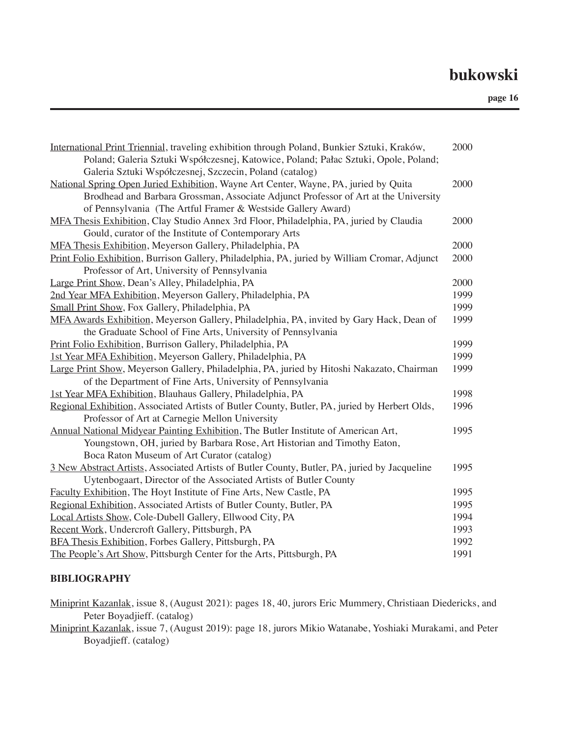| International Print Triennial, traveling exhibition through Poland, Bunkier Sztuki, Kraków,<br>Poland; Galeria Sztuki Współczesnej, Katowice, Poland; Pałac Sztuki, Opole, Poland; | 2000 |
|------------------------------------------------------------------------------------------------------------------------------------------------------------------------------------|------|
| Galeria Sztuki Współczesnej, Szczecin, Poland (catalog)                                                                                                                            |      |
| National Spring Open Juried Exhibition, Wayne Art Center, Wayne, PA, juried by Quita                                                                                               | 2000 |
| Brodhead and Barbara Grossman, Associate Adjunct Professor of Art at the University                                                                                                |      |
| of Pennsylvania (The Artful Framer & Westside Gallery Award)                                                                                                                       |      |
| MFA Thesis Exhibition, Clay Studio Annex 3rd Floor, Philadelphia, PA, juried by Claudia                                                                                            | 2000 |
| Gould, curator of the Institute of Contemporary Arts                                                                                                                               |      |
| MFA Thesis Exhibition, Meyerson Gallery, Philadelphia, PA                                                                                                                          | 2000 |
| Print Folio Exhibition, Burrison Gallery, Philadelphia, PA, juried by William Cromar, Adjunct                                                                                      | 2000 |
| Professor of Art, University of Pennsylvania                                                                                                                                       |      |
| Large Print Show, Dean's Alley, Philadelphia, PA                                                                                                                                   | 2000 |
| 2nd Year MFA Exhibition, Meyerson Gallery, Philadelphia, PA                                                                                                                        | 1999 |
| Small Print Show, Fox Gallery, Philadelphia, PA                                                                                                                                    | 1999 |
| MFA Awards Exhibition, Meyerson Gallery, Philadelphia, PA, invited by Gary Hack, Dean of                                                                                           | 1999 |
| the Graduate School of Fine Arts, University of Pennsylvania                                                                                                                       |      |
| Print Folio Exhibition, Burrison Gallery, Philadelphia, PA                                                                                                                         | 1999 |
| 1st Year MFA Exhibition, Meyerson Gallery, Philadelphia, PA                                                                                                                        | 1999 |
| Large Print Show, Meyerson Gallery, Philadelphia, PA, juried by Hitoshi Nakazato, Chairman                                                                                         | 1999 |
| of the Department of Fine Arts, University of Pennsylvania                                                                                                                         |      |
| 1st Year MFA Exhibition, Blauhaus Gallery, Philadelphia, PA                                                                                                                        | 1998 |
| Regional Exhibition, Associated Artists of Butler County, Butler, PA, juried by Herbert Olds,                                                                                      | 1996 |
| Professor of Art at Carnegie Mellon University                                                                                                                                     |      |
| Annual National Midyear Painting Exhibition, The Butler Institute of American Art,                                                                                                 | 1995 |
| Youngstown, OH, juried by Barbara Rose, Art Historian and Timothy Eaton,                                                                                                           |      |
| Boca Raton Museum of Art Curator (catalog)                                                                                                                                         |      |
| 3 New Abstract Artists, Associated Artists of Butler County, Butler, PA, juried by Jacqueline                                                                                      | 1995 |
| Uytenbogaart, Director of the Associated Artists of Butler County                                                                                                                  |      |
| Faculty Exhibition, The Hoyt Institute of Fine Arts, New Castle, PA                                                                                                                | 1995 |
| Regional Exhibition, Associated Artists of Butler County, Butler, PA                                                                                                               | 1995 |
| Local Artists Show, Cole-Dubell Gallery, Ellwood City, PA                                                                                                                          | 1994 |
| Recent Work, Undercroft Gallery, Pittsburgh, PA                                                                                                                                    | 1993 |
| BFA Thesis Exhibition, Forbes Gallery, Pittsburgh, PA                                                                                                                              | 1992 |
| The People's Art Show, Pittsburgh Center for the Arts, Pittsburgh, PA                                                                                                              | 1991 |

#### **BIBLIOGRAPHY**

Miniprint Kazanlak, issue 8, (August 2021): pages 18, 40, jurors Eric Mummery, Christiaan Diedericks, and Peter Boyadjieff. (catalog)

Miniprint Kazanlak, issue 7, (August 2019): page 18, jurors Mikio Watanabe, Yoshiaki Murakami, and Peter Boyadjieff. (catalog)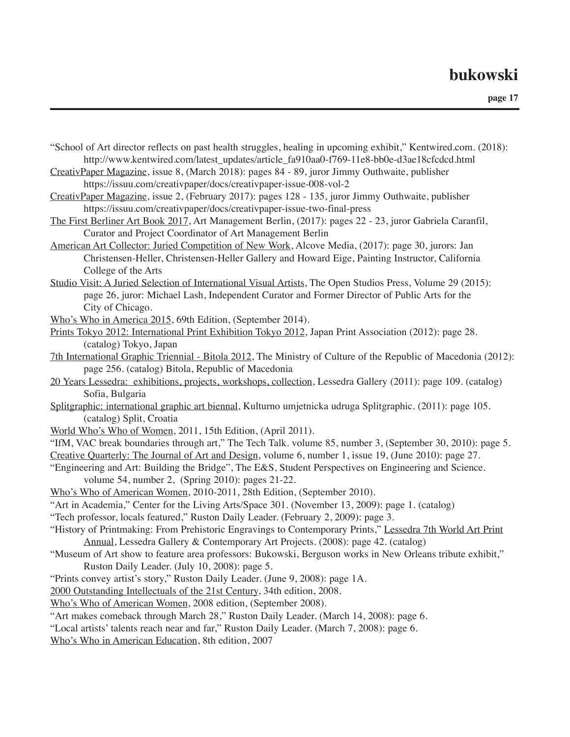- "School of Art director reflects on past health struggles, healing in upcoming exhibit," Kentwired.com. (2018): http://www.kentwired.com/latest\_updates/article\_fa910aa0-f769-11e8-bb0e-d3ae18cfcdcd.html
- CreativPaper Magazine, issue 8, (March 2018): pages 84 89, juror Jimmy Outhwaite, publisher https://issuu.com/creativpaper/docs/creativpaper-issue-008-vol-2
- CreativPaper Magazine, issue 2, (February 2017): pages 128 135, juror Jimmy Outhwaite, publisher https://issuu.com/creativpaper/docs/creativpaper-issue-two-final-press
- The First Berliner Art Book 2017, Art Management Berlin, (2017): pages 22 23, juror Gabriela Caranfil, Curator and Project Coordinator of Art Management Berlin
- American Art Collector: Juried Competition of New Work, Alcove Media, (2017): page 30, jurors: Jan Christensen-Heller, Christensen-Heller Gallery and Howard Eige, Painting Instructor, California College of the Arts
- Studio Visit: A Juried Selection of International Visual Artists, The Open Studios Press, Volume 29 (2015): page 26, juror: Michael Lash, Independent Curator and Former Director of Public Arts for the City of Chicago.
- Who's Who in America 2015, 69th Edition, (September 2014).
- Prints Tokyo 2012: International Print Exhibition Tokyo 2012, Japan Print Association (2012): page 28. (catalog) Tokyo, Japan
- 7th International Graphic Triennial Bitola 2012, The Ministry of Culture of the Republic of Macedonia (2012): page 256. (catalog) Bitola, Republic of Macedonia
- 20 Years Lessedra: exhibitions, projects, workshops, collection, Lessedra Gallery (2011): page 109. (catalog) Sofia, Bulgaria
- Splitgraphic: international graphic art biennal, Kulturno umjetnicka udruga Splitgraphic. (2011): page 105. (catalog) Split, Croatia
- World Who's Who of Women, 2011, 15th Edition, (April 2011).
- "IfM, VAC break boundaries through art," The Tech Talk. volume 85, number 3, (September 30, 2010): page 5. Creative Quarterly: The Journal of Art and Design, volume 6, number 1, issue 19, (June 2010): page 27.
- "Engineering and Art: Building the Bridge", The E&S, Student Perspectives on Engineering and Science. volume 54, number 2, (Spring 2010): pages 21-22.
- Who's Who of American Women, 2010-2011, 28th Edition, (September 2010).
- "Art in Academia," Center for the Living Arts/Space 301. (November 13, 2009): page 1. (catalog)
- "Tech professor, locals featured," Ruston Daily Leader. (February 2, 2009): page 3.
- "History of Printmaking: From Prehistoric Engravings to Contemporary Prints," Lessedra 7th World Art Print Annual, Lessedra Gallery & Contemporary Art Projects. (2008): page 42. (catalog)
- "Museum of Art show to feature area professors: Bukowski, Berguson works in New Orleans tribute exhibit," Ruston Daily Leader. (July 10, 2008): page 5.
- "Prints convey artist's story," Ruston Daily Leader. (June 9, 2008): page 1A.
- 2000 Outstanding Intellectuals of the 21st Century, 34th edition, 2008.
- Who's Who of American Women, 2008 edition, (September 2008).
- "Art makes comeback through March 28," Ruston Daily Leader. (March 14, 2008): page 6.
- "Local artists' talents reach near and far," Ruston Daily Leader. (March 7, 2008): page 6.
- Who's Who in American Education, 8th edition, 2007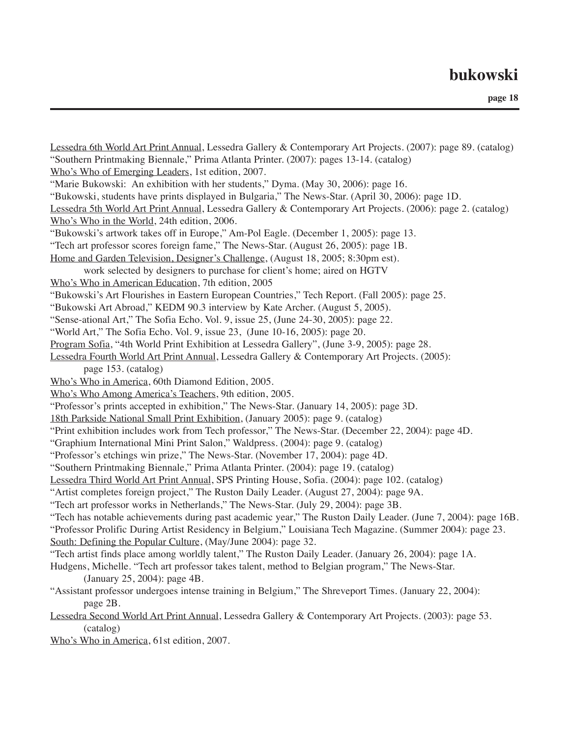| Lessedra 6th World Art Print Annual, Lessedra Gallery & Contemporary Art Projects. (2007): page 89. (catalog)<br>"Southern Printmaking Biennale," Prima Atlanta Printer. (2007): pages 13-14. (catalog) |
|---------------------------------------------------------------------------------------------------------------------------------------------------------------------------------------------------------|
| Who's Who of Emerging Leaders, 1st edition, 2007.                                                                                                                                                       |
| "Marie Bukowski: An exhibition with her students," Dyma. (May 30, 2006): page 16.                                                                                                                       |
| "Bukowski, students have prints displayed in Bulgaria," The News-Star. (April 30, 2006): page 1D.                                                                                                       |
| Lessedra 5th World Art Print Annual, Lessedra Gallery & Contemporary Art Projects. (2006): page 2. (catalog)                                                                                            |
| Who's Who in the World, 24th edition, 2006.                                                                                                                                                             |
| "Bukowski's artwork takes off in Europe," Am-Pol Eagle. (December 1, 2005): page 13.                                                                                                                    |
| "Tech art professor scores foreign fame," The News-Star. (August 26, 2005): page 1B.                                                                                                                    |
| Home and Garden Television, Designer's Challenge, (August 18, 2005; 8:30pm est).                                                                                                                        |
| work selected by designers to purchase for client's home; aired on HGTV                                                                                                                                 |
| Who's Who in American Education, 7th edition, 2005                                                                                                                                                      |
| "Bukowski's Art Flourishes in Eastern European Countries," Tech Report. (Fall 2005): page 25.                                                                                                           |
| "Bukowski Art Abroad," KEDM 90.3 interview by Kate Archer. (August 5, 2005).                                                                                                                            |
| "Sense-ational Art," The Sofia Echo. Vol. 9, issue 25, (June 24-30, 2005): page 22.                                                                                                                     |
| "World Art," The Sofia Echo. Vol. 9, issue 23, (June 10-16, 2005): page 20.                                                                                                                             |
| Program Sofia, "4th World Print Exhibition at Lessedra Gallery", (June 3-9, 2005): page 28.                                                                                                             |
| Lessedra Fourth World Art Print Annual, Lessedra Gallery & Contemporary Art Projects. (2005):                                                                                                           |
| page 153. (catalog)                                                                                                                                                                                     |
| Who's Who in America, 60th Diamond Edition, 2005.                                                                                                                                                       |
| Who's Who Among America's Teachers, 9th edition, 2005.                                                                                                                                                  |
| "Professor's prints accepted in exhibition," The News-Star. (January 14, 2005): page 3D.                                                                                                                |
| 18th Parkside National Small Print Exhibition, (January 2005): page 9. (catalog)                                                                                                                        |
| "Print exhibition includes work from Tech professor," The News-Star. (December 22, 2004): page 4D.                                                                                                      |
| "Graphium International Mini Print Salon," Waldpress. (2004): page 9. (catalog)                                                                                                                         |
| "Professor's etchings win prize," The News-Star. (November 17, 2004): page 4D.                                                                                                                          |
| "Southern Printmaking Biennale," Prima Atlanta Printer. (2004): page 19. (catalog)                                                                                                                      |
| Lessedra Third World Art Print Annual, SPS Printing House, Sofia. (2004): page 102. (catalog)                                                                                                           |
| "Artist completes foreign project," The Ruston Daily Leader. (August 27, 2004): page 9A.                                                                                                                |
| "Tech art professor works in Netherlands," The News-Star. (July 29, 2004): page 3B.                                                                                                                     |
| "Tech has notable achievements during past academic year," The Ruston Daily Leader. (June 7, 2004): page 16B.                                                                                           |
| "Professor Prolific During Artist Residency in Belgium," Louisiana Tech Magazine. (Summer 2004): page 23.                                                                                               |
| South: Defining the Popular Culture, (May/June 2004): page 32.                                                                                                                                          |
| "Tech artist finds place among worldly talent," The Ruston Daily Leader. (January 26, 2004): page 1A.                                                                                                   |
| Hudgens, Michelle. "Tech art professor takes talent, method to Belgian program," The News-Star.                                                                                                         |
| (January 25, 2004): page 4B.                                                                                                                                                                            |
| "Assistant professor undergoes intense training in Belgium," The Shreveport Times. (January 22, 2004):                                                                                                  |
| page 2B.                                                                                                                                                                                                |
| Lessedra Second World Art Print Annual, Lessedra Gallery & Contemporary Art Projects. (2003): page 53.                                                                                                  |
| (catalog)                                                                                                                                                                                               |
| Who's Who in America, 61st edition, 2007.                                                                                                                                                               |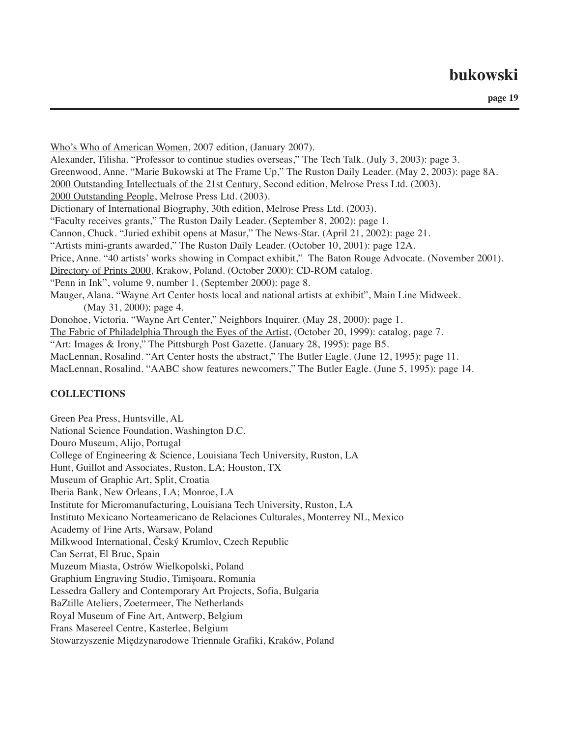**page 19**

Who's Who of American Women, 2007 edition, (January 2007). Alexander, Tilisha. "Professor to continue studies overseas," The Tech Talk. (July 3, 2003): page 3. Greenwood, Anne. "Marie Bukowski at The Frame Up," The Ruston Daily Leader. (May 2, 2003): page 8A. 2000 Outstanding Intellectuals of the 21st Century, Second edition, Melrose Press Ltd. (2003). 2000 Outstanding People, Melrose Press Ltd. (2003). Dictionary of International Biography, 30th edition, Melrose Press Ltd. (2003). "Faculty receives grants," The Ruston Daily Leader. (September 8, 2002): page 1. Cannon, Chuck. "Juried exhibit opens at Masur," The News-Star. (April 21, 2002): page 21. "Artists mini-grants awarded," The Ruston Daily Leader. (October 10, 2001): page 12A. Price, Anne. "40 artists' works showing in Compact exhibit," The Baton Rouge Advocate. (November 2001). Directory of Prints 2000, Krakow, Poland. (October 2000): CD-ROM catalog. "Penn in Ink", volume 9, number 1. (September 2000): page 8. Mauger, Alana. "Wayne Art Center hosts local and national artists at exhibit", Main Line Midweek. (May 31, 2000): page 4. Donohoe, Victoria. "Wayne Art Center," Neighbors Inquirer. (May 28, 2000): page 1. The Fabric of Philadelphia Through the Eyes of the Artist, (October 20, 1999): catalog, page 7. "Art: Images & Irony," The Pittsburgh Post Gazette. (January 28, 1995): page B5. MacLennan, Rosalind. "Art Center hosts the abstract," The Butler Eagle. (June 12, 1995): page 11. MacLennan, Rosalind. "AABC show features newcomers," The Butler Eagle. (June 5, 1995): page 14.

#### **COLLECTIONS**

Green Pea Press, Huntsville, AL National Science Foundation, Washington D.C. Douro Museum, Alijo, Portugal College of Engineering & Science, Louisiana Tech University, Ruston, LA Hunt, Guillot and Associates, Ruston, LA; Houston, TX Museum of Graphic Art, Split, Croatia Iberia Bank, New Orleans, LA; Monroe, LA Institute for Micromanufacturing, Louisiana Tech University, Ruston, LA Instituto Mexicano Norteamericano de Relaciones Culturales, Monterrey NL, Mexico Academy of Fine Arts, Warsaw, Poland Milkwood International, Český Krumlov, Czech Republic Can Serrat, El Bruc, Spain Muzeum Miasta, Ostrów Wielkopolski, Poland Graphium Engraving Studio, Timișoara, Romania Lessedra Gallery and Contemporary Art Projects, Sofia, Bulgaria BaZtille Ateliers, Zoetermeer, The Netherlands Royal Museum of Fine Art, Antwerp, Belgium Frans Masereel Centre, Kasterlee, Belgium Stowarzyszenie Międzynarodowe Triennale Grafiki, Kraków, Poland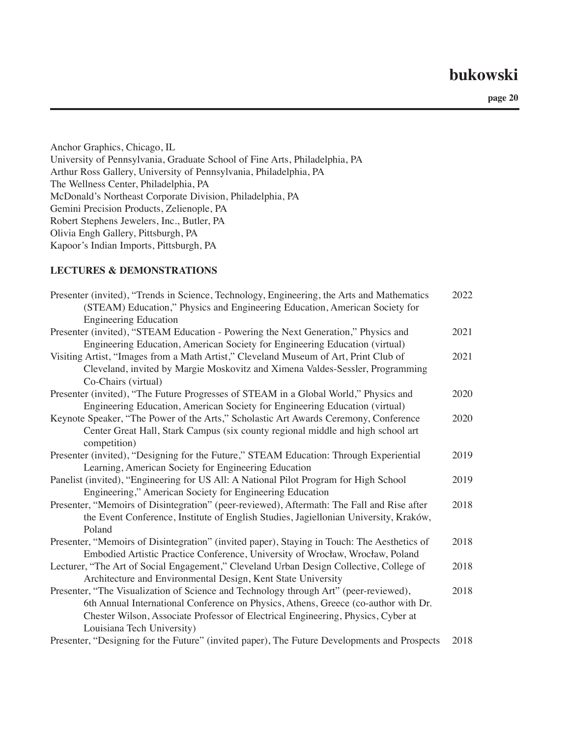**page 20**

Anchor Graphics, Chicago, IL University of Pennsylvania, Graduate School of Fine Arts, Philadelphia, PA Arthur Ross Gallery, University of Pennsylvania, Philadelphia, PA The Wellness Center, Philadelphia, PA McDonald's Northeast Corporate Division, Philadelphia, PA Gemini Precision Products, Zelienople, PA Robert Stephens Jewelers, Inc., Butler, PA Olivia Engh Gallery, Pittsburgh, PA Kapoor's Indian Imports, Pittsburgh, PA

#### **LECTURES & DEMONSTRATIONS**

| Presenter (invited), "Trends in Science, Technology, Engineering, the Arts and Mathematics<br>(STEAM) Education," Physics and Engineering Education, American Society for | 2022 |
|---------------------------------------------------------------------------------------------------------------------------------------------------------------------------|------|
| <b>Engineering Education</b>                                                                                                                                              |      |
| Presenter (invited), "STEAM Education - Powering the Next Generation," Physics and                                                                                        | 2021 |
| Engineering Education, American Society for Engineering Education (virtual)                                                                                               |      |
| Visiting Artist, "Images from a Math Artist," Cleveland Museum of Art, Print Club of                                                                                      | 2021 |
| Cleveland, invited by Margie Moskovitz and Ximena Valdes-Sessler, Programming                                                                                             |      |
| Co-Chairs (virtual)                                                                                                                                                       |      |
| Presenter (invited), "The Future Progresses of STEAM in a Global World," Physics and                                                                                      | 2020 |
| Engineering Education, American Society for Engineering Education (virtual)                                                                                               |      |
| Keynote Speaker, "The Power of the Arts," Scholastic Art Awards Ceremony, Conference                                                                                      | 2020 |
| Center Great Hall, Stark Campus (six county regional middle and high school art<br>competition)                                                                           |      |
| Presenter (invited), "Designing for the Future," STEAM Education: Through Experiential                                                                                    | 2019 |
| Learning, American Society for Engineering Education                                                                                                                      |      |
| Panelist (invited), "Engineering for US All: A National Pilot Program for High School                                                                                     | 2019 |
| Engineering," American Society for Engineering Education                                                                                                                  |      |
| Presenter, "Memoirs of Disintegration" (peer-reviewed), Aftermath: The Fall and Rise after                                                                                | 2018 |
| the Event Conference, Institute of English Studies, Jagiellonian University, Kraków,                                                                                      |      |
| Poland                                                                                                                                                                    |      |
| Presenter, "Memoirs of Disintegration" (invited paper), Staying in Touch: The Aesthetics of                                                                               | 2018 |
| Embodied Artistic Practice Conference, University of Wrocław, Wrocław, Poland                                                                                             |      |
| Lecturer, "The Art of Social Engagement," Cleveland Urban Design Collective, College of                                                                                   | 2018 |
| Architecture and Environmental Design, Kent State University                                                                                                              |      |
| Presenter, "The Visualization of Science and Technology through Art" (peer-reviewed),                                                                                     | 2018 |
| 6th Annual International Conference on Physics, Athens, Greece (co-author with Dr.                                                                                        |      |
| Chester Wilson, Associate Professor of Electrical Engineering, Physics, Cyber at                                                                                          |      |
| Louisiana Tech University)                                                                                                                                                |      |
| Presenter, "Designing for the Future" (invited paper), The Future Developments and Prospects                                                                              | 2018 |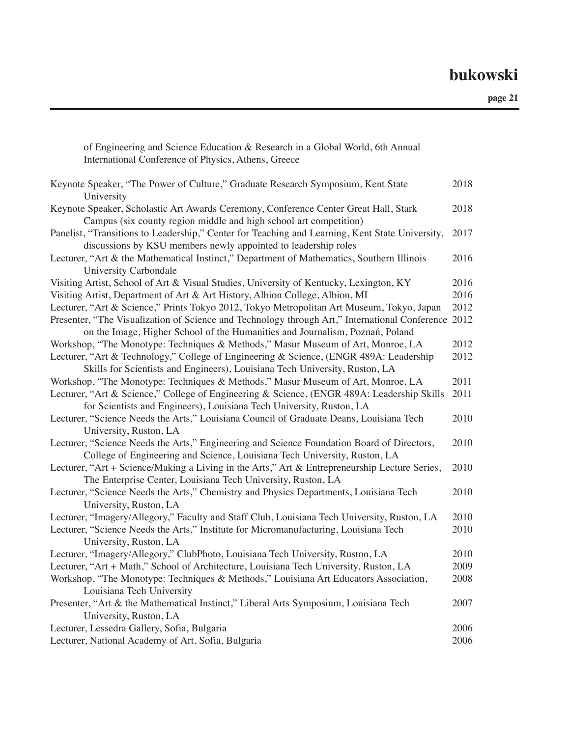**page 21**

| Keynote Speaker, "The Power of Culture," Graduate Research Symposium, Kent State<br>University                                                                                      | 2018 |
|-------------------------------------------------------------------------------------------------------------------------------------------------------------------------------------|------|
| Keynote Speaker, Scholastic Art Awards Ceremony, Conference Center Great Hall, Stark<br>Campus (six county region middle and high school art competition)                           | 2018 |
| Panelist, "Transitions to Leadership," Center for Teaching and Learning, Kent State University,<br>discussions by KSU members newly appointed to leadership roles                   | 2017 |
| Lecturer, "Art & the Mathematical Instinct," Department of Mathematics, Southern Illinois<br>University Carbondale                                                                  | 2016 |
| Visiting Artist, School of Art & Visual Studies, University of Kentucky, Lexington, KY                                                                                              | 2016 |
| Visiting Artist, Department of Art & Art History, Albion College, Albion, MI                                                                                                        | 2016 |
| Lecturer, "Art & Science," Prints Tokyo 2012, Tokyo Metropolitan Art Museum, Tokyo, Japan                                                                                           | 2012 |
| Presenter, "The Visualization of Science and Technology through Art," International Conference 2012<br>on the Image, Higher School of the Humanities and Journalism, Poznań, Poland |      |
| Workshop, "The Monotype: Techniques & Methods," Masur Museum of Art, Monroe, LA                                                                                                     | 2012 |
| Lecturer, "Art & Technology," College of Engineering & Science, (ENGR 489A: Leadership<br>Skills for Scientists and Engineers), Louisiana Tech University, Ruston, LA               | 2012 |
| Workshop, "The Monotype: Techniques & Methods," Masur Museum of Art, Monroe, LA                                                                                                     | 2011 |
| Lecturer, "Art & Science," College of Engineering & Science, (ENGR 489A: Leadership Skills<br>for Scientists and Engineers), Louisiana Tech University, Ruston, LA                  | 2011 |
| Lecturer, "Science Needs the Arts," Louisiana Council of Graduate Deans, Louisiana Tech<br>University, Ruston, LA                                                                   | 2010 |
| Lecturer, "Science Needs the Arts," Engineering and Science Foundation Board of Directors,<br>College of Engineering and Science, Louisiana Tech University, Ruston, LA             | 2010 |
| Lecturer, "Art + Science/Making a Living in the Arts," Art & Entrepreneurship Lecture Series,<br>The Enterprise Center, Louisiana Tech University, Ruston, LA                       | 2010 |
| Lecturer, "Science Needs the Arts," Chemistry and Physics Departments, Louisiana Tech<br>University, Ruston, LA                                                                     | 2010 |
| Lecturer, "Imagery/Allegory," Faculty and Staff Club, Louisiana Tech University, Ruston, LA                                                                                         | 2010 |
| Lecturer, "Science Needs the Arts," Institute for Micromanufacturing, Louisiana Tech<br>University, Ruston, LA                                                                      | 2010 |
| Lecturer, "Imagery/Allegory," ClubPhoto, Louisiana Tech University, Ruston, LA                                                                                                      | 2010 |
| Lecturer, "Art + Math," School of Architecture, Louisiana Tech University, Ruston, LA                                                                                               | 2009 |
| Workshop, "The Monotype: Techniques & Methods," Louisiana Art Educators Association,<br>Louisiana Tech University                                                                   | 2008 |
| Presenter, "Art & the Mathematical Instinct," Liberal Arts Symposium, Louisiana Tech<br>University, Ruston, LA                                                                      | 2007 |
| Lecturer, Lessedra Gallery, Sofia, Bulgaria                                                                                                                                         | 2006 |
| Lecturer, National Academy of Art, Sofia, Bulgaria                                                                                                                                  | 2006 |

of Engineering and Science Education & Research in a Global World, 6th Annual

International Conference of Physics, Athens, Greece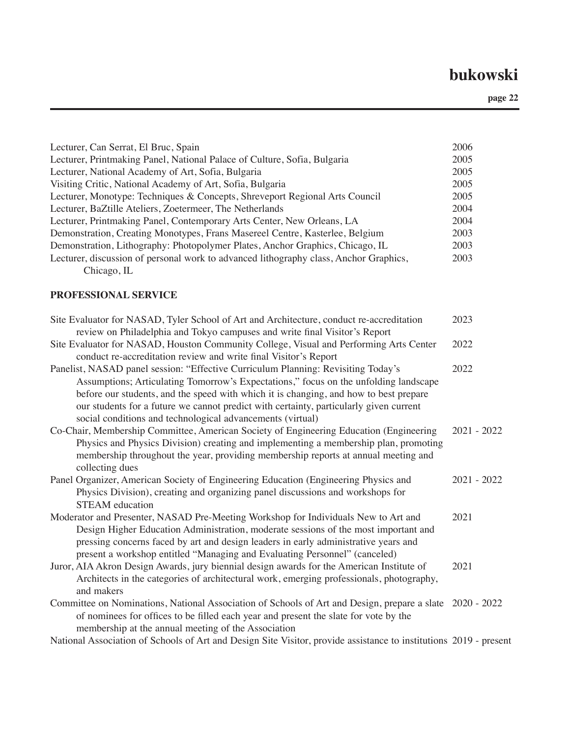| 2005<br>Lecturer, Printmaking Panel, National Palace of Culture, Sofia, Bulgaria<br>Lecturer, National Academy of Art, Sofia, Bulgaria<br>2005<br>Visiting Critic, National Academy of Art, Sofia, Bulgaria<br>2005<br>Lecturer, Monotype: Techniques & Concepts, Shreveport Regional Arts Council<br>2005<br>Lecturer, BaZtille Ateliers, Zoetermeer, The Netherlands<br>2004<br>Lecturer, Printmaking Panel, Contemporary Arts Center, New Orleans, LA<br>2004<br>Demonstration, Creating Monotypes, Frans Masereel Centre, Kasterlee, Belgium<br>2003<br>Demonstration, Lithography: Photopolymer Plates, Anchor Graphics, Chicago, IL<br>2003<br>Lecturer, discussion of personal work to advanced lithography class, Anchor Graphics,<br>2003<br>Chicago, IL<br>PROFESSIONAL SERVICE<br>Site Evaluator for NASAD, Tyler School of Art and Architecture, conduct re-accreditation<br>2023<br>review on Philadelphia and Tokyo campuses and write final Visitor's Report<br>Site Evaluator for NASAD, Houston Community College, Visual and Performing Arts Center<br>2022<br>conduct re-accreditation review and write final Visitor's Report<br>2022<br>Panelist, NASAD panel session: "Effective Curriculum Planning: Revisiting Today's<br>Assumptions; Articulating Tomorrow's Expectations," focus on the unfolding landscape<br>before our students, and the speed with which it is changing, and how to best prepare<br>our students for a future we cannot predict with certainty, particularly given current<br>social conditions and technological advancements (virtual)<br>Co-Chair, Membership Committee, American Society of Engineering Education (Engineering<br>$2021 - 2022$<br>Physics and Physics Division) creating and implementing a membership plan, promoting<br>membership throughout the year, providing membership reports at annual meeting and<br>collecting dues<br>2021 - 2022<br>Panel Organizer, American Society of Engineering Education (Engineering Physics and<br>Physics Division), creating and organizing panel discussions and workshops for<br><b>STEAM</b> education<br>Moderator and Presenter, NASAD Pre-Meeting Workshop for Individuals New to Art and<br>2021<br>Design Higher Education Administration, moderate sessions of the most important and<br>pressing concerns faced by art and design leaders in early administrative years and<br>present a workshop entitled "Managing and Evaluating Personnel" (canceled)<br>2021<br>Juror, AIA Akron Design Awards, jury biennial design awards for the American Institute of<br>Architects in the categories of architectural work, emerging professionals, photography,<br>and makers<br>Committee on Nominations, National Association of Schools of Art and Design, prepare a slate 2020 - 2022<br>of nominees for offices to be filled each year and present the slate for vote by the<br>membership at the annual meeting of the Association | Lecturer, Can Serrat, El Bruc, Spain                                                                              | 2006 |
|-----------------------------------------------------------------------------------------------------------------------------------------------------------------------------------------------------------------------------------------------------------------------------------------------------------------------------------------------------------------------------------------------------------------------------------------------------------------------------------------------------------------------------------------------------------------------------------------------------------------------------------------------------------------------------------------------------------------------------------------------------------------------------------------------------------------------------------------------------------------------------------------------------------------------------------------------------------------------------------------------------------------------------------------------------------------------------------------------------------------------------------------------------------------------------------------------------------------------------------------------------------------------------------------------------------------------------------------------------------------------------------------------------------------------------------------------------------------------------------------------------------------------------------------------------------------------------------------------------------------------------------------------------------------------------------------------------------------------------------------------------------------------------------------------------------------------------------------------------------------------------------------------------------------------------------------------------------------------------------------------------------------------------------------------------------------------------------------------------------------------------------------------------------------------------------------------------------------------------------------------------------------------------------------------------------------------------------------------------------------------------------------------------------------------------------------------------------------------------------------------------------------------------------------------------------------------------------------------------------------------------------------------------------------------------------------------------------------------------------------------------------------------------------------------------------------------------------------------------------------------------------------------------------------------------------------------------------|-------------------------------------------------------------------------------------------------------------------|------|
|                                                                                                                                                                                                                                                                                                                                                                                                                                                                                                                                                                                                                                                                                                                                                                                                                                                                                                                                                                                                                                                                                                                                                                                                                                                                                                                                                                                                                                                                                                                                                                                                                                                                                                                                                                                                                                                                                                                                                                                                                                                                                                                                                                                                                                                                                                                                                                                                                                                                                                                                                                                                                                                                                                                                                                                                                                                                                                                                                           |                                                                                                                   |      |
|                                                                                                                                                                                                                                                                                                                                                                                                                                                                                                                                                                                                                                                                                                                                                                                                                                                                                                                                                                                                                                                                                                                                                                                                                                                                                                                                                                                                                                                                                                                                                                                                                                                                                                                                                                                                                                                                                                                                                                                                                                                                                                                                                                                                                                                                                                                                                                                                                                                                                                                                                                                                                                                                                                                                                                                                                                                                                                                                                           |                                                                                                                   |      |
|                                                                                                                                                                                                                                                                                                                                                                                                                                                                                                                                                                                                                                                                                                                                                                                                                                                                                                                                                                                                                                                                                                                                                                                                                                                                                                                                                                                                                                                                                                                                                                                                                                                                                                                                                                                                                                                                                                                                                                                                                                                                                                                                                                                                                                                                                                                                                                                                                                                                                                                                                                                                                                                                                                                                                                                                                                                                                                                                                           |                                                                                                                   |      |
|                                                                                                                                                                                                                                                                                                                                                                                                                                                                                                                                                                                                                                                                                                                                                                                                                                                                                                                                                                                                                                                                                                                                                                                                                                                                                                                                                                                                                                                                                                                                                                                                                                                                                                                                                                                                                                                                                                                                                                                                                                                                                                                                                                                                                                                                                                                                                                                                                                                                                                                                                                                                                                                                                                                                                                                                                                                                                                                                                           |                                                                                                                   |      |
|                                                                                                                                                                                                                                                                                                                                                                                                                                                                                                                                                                                                                                                                                                                                                                                                                                                                                                                                                                                                                                                                                                                                                                                                                                                                                                                                                                                                                                                                                                                                                                                                                                                                                                                                                                                                                                                                                                                                                                                                                                                                                                                                                                                                                                                                                                                                                                                                                                                                                                                                                                                                                                                                                                                                                                                                                                                                                                                                                           |                                                                                                                   |      |
|                                                                                                                                                                                                                                                                                                                                                                                                                                                                                                                                                                                                                                                                                                                                                                                                                                                                                                                                                                                                                                                                                                                                                                                                                                                                                                                                                                                                                                                                                                                                                                                                                                                                                                                                                                                                                                                                                                                                                                                                                                                                                                                                                                                                                                                                                                                                                                                                                                                                                                                                                                                                                                                                                                                                                                                                                                                                                                                                                           |                                                                                                                   |      |
|                                                                                                                                                                                                                                                                                                                                                                                                                                                                                                                                                                                                                                                                                                                                                                                                                                                                                                                                                                                                                                                                                                                                                                                                                                                                                                                                                                                                                                                                                                                                                                                                                                                                                                                                                                                                                                                                                                                                                                                                                                                                                                                                                                                                                                                                                                                                                                                                                                                                                                                                                                                                                                                                                                                                                                                                                                                                                                                                                           |                                                                                                                   |      |
|                                                                                                                                                                                                                                                                                                                                                                                                                                                                                                                                                                                                                                                                                                                                                                                                                                                                                                                                                                                                                                                                                                                                                                                                                                                                                                                                                                                                                                                                                                                                                                                                                                                                                                                                                                                                                                                                                                                                                                                                                                                                                                                                                                                                                                                                                                                                                                                                                                                                                                                                                                                                                                                                                                                                                                                                                                                                                                                                                           |                                                                                                                   |      |
|                                                                                                                                                                                                                                                                                                                                                                                                                                                                                                                                                                                                                                                                                                                                                                                                                                                                                                                                                                                                                                                                                                                                                                                                                                                                                                                                                                                                                                                                                                                                                                                                                                                                                                                                                                                                                                                                                                                                                                                                                                                                                                                                                                                                                                                                                                                                                                                                                                                                                                                                                                                                                                                                                                                                                                                                                                                                                                                                                           |                                                                                                                   |      |
|                                                                                                                                                                                                                                                                                                                                                                                                                                                                                                                                                                                                                                                                                                                                                                                                                                                                                                                                                                                                                                                                                                                                                                                                                                                                                                                                                                                                                                                                                                                                                                                                                                                                                                                                                                                                                                                                                                                                                                                                                                                                                                                                                                                                                                                                                                                                                                                                                                                                                                                                                                                                                                                                                                                                                                                                                                                                                                                                                           |                                                                                                                   |      |
|                                                                                                                                                                                                                                                                                                                                                                                                                                                                                                                                                                                                                                                                                                                                                                                                                                                                                                                                                                                                                                                                                                                                                                                                                                                                                                                                                                                                                                                                                                                                                                                                                                                                                                                                                                                                                                                                                                                                                                                                                                                                                                                                                                                                                                                                                                                                                                                                                                                                                                                                                                                                                                                                                                                                                                                                                                                                                                                                                           |                                                                                                                   |      |
|                                                                                                                                                                                                                                                                                                                                                                                                                                                                                                                                                                                                                                                                                                                                                                                                                                                                                                                                                                                                                                                                                                                                                                                                                                                                                                                                                                                                                                                                                                                                                                                                                                                                                                                                                                                                                                                                                                                                                                                                                                                                                                                                                                                                                                                                                                                                                                                                                                                                                                                                                                                                                                                                                                                                                                                                                                                                                                                                                           |                                                                                                                   |      |
|                                                                                                                                                                                                                                                                                                                                                                                                                                                                                                                                                                                                                                                                                                                                                                                                                                                                                                                                                                                                                                                                                                                                                                                                                                                                                                                                                                                                                                                                                                                                                                                                                                                                                                                                                                                                                                                                                                                                                                                                                                                                                                                                                                                                                                                                                                                                                                                                                                                                                                                                                                                                                                                                                                                                                                                                                                                                                                                                                           |                                                                                                                   |      |
|                                                                                                                                                                                                                                                                                                                                                                                                                                                                                                                                                                                                                                                                                                                                                                                                                                                                                                                                                                                                                                                                                                                                                                                                                                                                                                                                                                                                                                                                                                                                                                                                                                                                                                                                                                                                                                                                                                                                                                                                                                                                                                                                                                                                                                                                                                                                                                                                                                                                                                                                                                                                                                                                                                                                                                                                                                                                                                                                                           |                                                                                                                   |      |
|                                                                                                                                                                                                                                                                                                                                                                                                                                                                                                                                                                                                                                                                                                                                                                                                                                                                                                                                                                                                                                                                                                                                                                                                                                                                                                                                                                                                                                                                                                                                                                                                                                                                                                                                                                                                                                                                                                                                                                                                                                                                                                                                                                                                                                                                                                                                                                                                                                                                                                                                                                                                                                                                                                                                                                                                                                                                                                                                                           |                                                                                                                   |      |
|                                                                                                                                                                                                                                                                                                                                                                                                                                                                                                                                                                                                                                                                                                                                                                                                                                                                                                                                                                                                                                                                                                                                                                                                                                                                                                                                                                                                                                                                                                                                                                                                                                                                                                                                                                                                                                                                                                                                                                                                                                                                                                                                                                                                                                                                                                                                                                                                                                                                                                                                                                                                                                                                                                                                                                                                                                                                                                                                                           |                                                                                                                   |      |
|                                                                                                                                                                                                                                                                                                                                                                                                                                                                                                                                                                                                                                                                                                                                                                                                                                                                                                                                                                                                                                                                                                                                                                                                                                                                                                                                                                                                                                                                                                                                                                                                                                                                                                                                                                                                                                                                                                                                                                                                                                                                                                                                                                                                                                                                                                                                                                                                                                                                                                                                                                                                                                                                                                                                                                                                                                                                                                                                                           |                                                                                                                   |      |
|                                                                                                                                                                                                                                                                                                                                                                                                                                                                                                                                                                                                                                                                                                                                                                                                                                                                                                                                                                                                                                                                                                                                                                                                                                                                                                                                                                                                                                                                                                                                                                                                                                                                                                                                                                                                                                                                                                                                                                                                                                                                                                                                                                                                                                                                                                                                                                                                                                                                                                                                                                                                                                                                                                                                                                                                                                                                                                                                                           |                                                                                                                   |      |
|                                                                                                                                                                                                                                                                                                                                                                                                                                                                                                                                                                                                                                                                                                                                                                                                                                                                                                                                                                                                                                                                                                                                                                                                                                                                                                                                                                                                                                                                                                                                                                                                                                                                                                                                                                                                                                                                                                                                                                                                                                                                                                                                                                                                                                                                                                                                                                                                                                                                                                                                                                                                                                                                                                                                                                                                                                                                                                                                                           |                                                                                                                   |      |
|                                                                                                                                                                                                                                                                                                                                                                                                                                                                                                                                                                                                                                                                                                                                                                                                                                                                                                                                                                                                                                                                                                                                                                                                                                                                                                                                                                                                                                                                                                                                                                                                                                                                                                                                                                                                                                                                                                                                                                                                                                                                                                                                                                                                                                                                                                                                                                                                                                                                                                                                                                                                                                                                                                                                                                                                                                                                                                                                                           |                                                                                                                   |      |
|                                                                                                                                                                                                                                                                                                                                                                                                                                                                                                                                                                                                                                                                                                                                                                                                                                                                                                                                                                                                                                                                                                                                                                                                                                                                                                                                                                                                                                                                                                                                                                                                                                                                                                                                                                                                                                                                                                                                                                                                                                                                                                                                                                                                                                                                                                                                                                                                                                                                                                                                                                                                                                                                                                                                                                                                                                                                                                                                                           |                                                                                                                   |      |
|                                                                                                                                                                                                                                                                                                                                                                                                                                                                                                                                                                                                                                                                                                                                                                                                                                                                                                                                                                                                                                                                                                                                                                                                                                                                                                                                                                                                                                                                                                                                                                                                                                                                                                                                                                                                                                                                                                                                                                                                                                                                                                                                                                                                                                                                                                                                                                                                                                                                                                                                                                                                                                                                                                                                                                                                                                                                                                                                                           |                                                                                                                   |      |
|                                                                                                                                                                                                                                                                                                                                                                                                                                                                                                                                                                                                                                                                                                                                                                                                                                                                                                                                                                                                                                                                                                                                                                                                                                                                                                                                                                                                                                                                                                                                                                                                                                                                                                                                                                                                                                                                                                                                                                                                                                                                                                                                                                                                                                                                                                                                                                                                                                                                                                                                                                                                                                                                                                                                                                                                                                                                                                                                                           |                                                                                                                   |      |
|                                                                                                                                                                                                                                                                                                                                                                                                                                                                                                                                                                                                                                                                                                                                                                                                                                                                                                                                                                                                                                                                                                                                                                                                                                                                                                                                                                                                                                                                                                                                                                                                                                                                                                                                                                                                                                                                                                                                                                                                                                                                                                                                                                                                                                                                                                                                                                                                                                                                                                                                                                                                                                                                                                                                                                                                                                                                                                                                                           |                                                                                                                   |      |
|                                                                                                                                                                                                                                                                                                                                                                                                                                                                                                                                                                                                                                                                                                                                                                                                                                                                                                                                                                                                                                                                                                                                                                                                                                                                                                                                                                                                                                                                                                                                                                                                                                                                                                                                                                                                                                                                                                                                                                                                                                                                                                                                                                                                                                                                                                                                                                                                                                                                                                                                                                                                                                                                                                                                                                                                                                                                                                                                                           |                                                                                                                   |      |
|                                                                                                                                                                                                                                                                                                                                                                                                                                                                                                                                                                                                                                                                                                                                                                                                                                                                                                                                                                                                                                                                                                                                                                                                                                                                                                                                                                                                                                                                                                                                                                                                                                                                                                                                                                                                                                                                                                                                                                                                                                                                                                                                                                                                                                                                                                                                                                                                                                                                                                                                                                                                                                                                                                                                                                                                                                                                                                                                                           |                                                                                                                   |      |
|                                                                                                                                                                                                                                                                                                                                                                                                                                                                                                                                                                                                                                                                                                                                                                                                                                                                                                                                                                                                                                                                                                                                                                                                                                                                                                                                                                                                                                                                                                                                                                                                                                                                                                                                                                                                                                                                                                                                                                                                                                                                                                                                                                                                                                                                                                                                                                                                                                                                                                                                                                                                                                                                                                                                                                                                                                                                                                                                                           |                                                                                                                   |      |
|                                                                                                                                                                                                                                                                                                                                                                                                                                                                                                                                                                                                                                                                                                                                                                                                                                                                                                                                                                                                                                                                                                                                                                                                                                                                                                                                                                                                                                                                                                                                                                                                                                                                                                                                                                                                                                                                                                                                                                                                                                                                                                                                                                                                                                                                                                                                                                                                                                                                                                                                                                                                                                                                                                                                                                                                                                                                                                                                                           |                                                                                                                   |      |
|                                                                                                                                                                                                                                                                                                                                                                                                                                                                                                                                                                                                                                                                                                                                                                                                                                                                                                                                                                                                                                                                                                                                                                                                                                                                                                                                                                                                                                                                                                                                                                                                                                                                                                                                                                                                                                                                                                                                                                                                                                                                                                                                                                                                                                                                                                                                                                                                                                                                                                                                                                                                                                                                                                                                                                                                                                                                                                                                                           |                                                                                                                   |      |
|                                                                                                                                                                                                                                                                                                                                                                                                                                                                                                                                                                                                                                                                                                                                                                                                                                                                                                                                                                                                                                                                                                                                                                                                                                                                                                                                                                                                                                                                                                                                                                                                                                                                                                                                                                                                                                                                                                                                                                                                                                                                                                                                                                                                                                                                                                                                                                                                                                                                                                                                                                                                                                                                                                                                                                                                                                                                                                                                                           |                                                                                                                   |      |
|                                                                                                                                                                                                                                                                                                                                                                                                                                                                                                                                                                                                                                                                                                                                                                                                                                                                                                                                                                                                                                                                                                                                                                                                                                                                                                                                                                                                                                                                                                                                                                                                                                                                                                                                                                                                                                                                                                                                                                                                                                                                                                                                                                                                                                                                                                                                                                                                                                                                                                                                                                                                                                                                                                                                                                                                                                                                                                                                                           |                                                                                                                   |      |
|                                                                                                                                                                                                                                                                                                                                                                                                                                                                                                                                                                                                                                                                                                                                                                                                                                                                                                                                                                                                                                                                                                                                                                                                                                                                                                                                                                                                                                                                                                                                                                                                                                                                                                                                                                                                                                                                                                                                                                                                                                                                                                                                                                                                                                                                                                                                                                                                                                                                                                                                                                                                                                                                                                                                                                                                                                                                                                                                                           |                                                                                                                   |      |
|                                                                                                                                                                                                                                                                                                                                                                                                                                                                                                                                                                                                                                                                                                                                                                                                                                                                                                                                                                                                                                                                                                                                                                                                                                                                                                                                                                                                                                                                                                                                                                                                                                                                                                                                                                                                                                                                                                                                                                                                                                                                                                                                                                                                                                                                                                                                                                                                                                                                                                                                                                                                                                                                                                                                                                                                                                                                                                                                                           | National Association of Schools of Art and Design Site Visitor, provide assistance to institutions 2019 - present |      |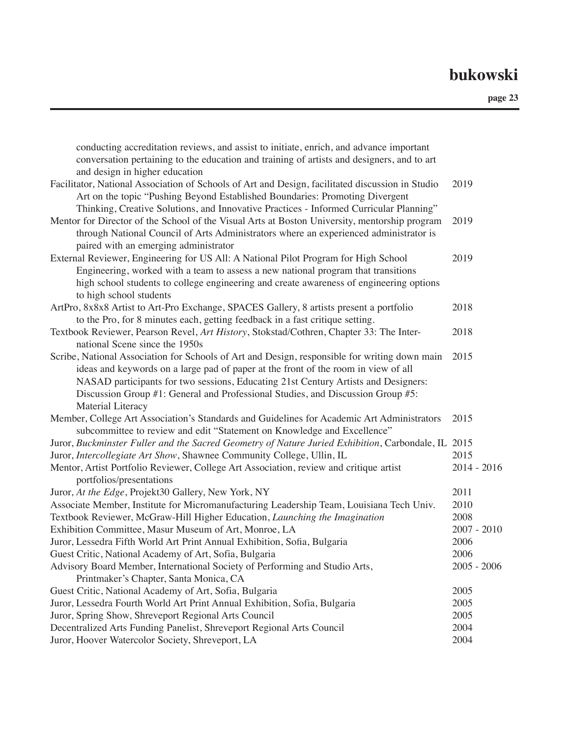| conducting accreditation reviews, and assist to initiate, enrich, and advance important<br>conversation pertaining to the education and training of artists and designers, and to art                                                                                                                                                                                             |               |
|-----------------------------------------------------------------------------------------------------------------------------------------------------------------------------------------------------------------------------------------------------------------------------------------------------------------------------------------------------------------------------------|---------------|
| and design in higher education                                                                                                                                                                                                                                                                                                                                                    |               |
| Facilitator, National Association of Schools of Art and Design, facilitated discussion in Studio<br>Art on the topic "Pushing Beyond Established Boundaries: Promoting Divergent                                                                                                                                                                                                  | 2019          |
| Thinking, Creative Solutions, and Innovative Practices - Informed Curricular Planning"<br>Mentor for Director of the School of the Visual Arts at Boston University, mentorship program<br>through National Council of Arts Administrators where an experienced administrator is                                                                                                  | 2019          |
| paired with an emerging administrator<br>External Reviewer, Engineering for US All: A National Pilot Program for High School<br>Engineering, worked with a team to assess a new national program that transitions<br>high school students to college engineering and create awareness of engineering options<br>to high school students                                           | 2019          |
| ArtPro, 8x8x8 Artist to Art-Pro Exchange, SPACES Gallery, 8 artists present a portfolio                                                                                                                                                                                                                                                                                           | 2018          |
| to the Pro, for 8 minutes each, getting feedback in a fast critique setting.                                                                                                                                                                                                                                                                                                      |               |
| Textbook Reviewer, Pearson Revel, Art History, Stokstad/Cothren, Chapter 33: The Inter-<br>national Scene since the 1950s                                                                                                                                                                                                                                                         | 2018          |
| Scribe, National Association for Schools of Art and Design, responsible for writing down main<br>ideas and keywords on a large pad of paper at the front of the room in view of all<br>NASAD participants for two sessions, Educating 21st Century Artists and Designers:<br>Discussion Group #1: General and Professional Studies, and Discussion Group #5:<br>Material Literacy | 2015          |
| Member, College Art Association's Standards and Guidelines for Academic Art Administrators<br>subcommittee to review and edit "Statement on Knowledge and Excellence"                                                                                                                                                                                                             | 2015          |
| Juror, Buckminster Fuller and the Sacred Geometry of Nature Juried Exhibition, Carbondale, IL 2015                                                                                                                                                                                                                                                                                |               |
| Juror, Intercollegiate Art Show, Shawnee Community College, Ullin, IL                                                                                                                                                                                                                                                                                                             | 2015          |
| Mentor, Artist Portfolio Reviewer, College Art Association, review and critique artist<br>portfolios/presentations                                                                                                                                                                                                                                                                | 2014 - 2016   |
| Juror, At the Edge, Projekt30 Gallery, New York, NY                                                                                                                                                                                                                                                                                                                               | 2011          |
| Associate Member, Institute for Micromanufacturing Leadership Team, Louisiana Tech Univ.                                                                                                                                                                                                                                                                                          | 2010          |
| Textbook Reviewer, McGraw-Hill Higher Education, Launching the Imagination                                                                                                                                                                                                                                                                                                        | 2008          |
| Exhibition Committee, Masur Museum of Art, Monroe, LA                                                                                                                                                                                                                                                                                                                             | $2007 - 2010$ |
| Juror, Lessedra Fifth World Art Print Annual Exhibition, Sofia, Bulgaria                                                                                                                                                                                                                                                                                                          | 2006          |
| Guest Critic, National Academy of Art, Sofia, Bulgaria                                                                                                                                                                                                                                                                                                                            | 2006          |
| Advisory Board Member, International Society of Performing and Studio Arts,<br>Printmaker's Chapter, Santa Monica, CA                                                                                                                                                                                                                                                             | $2005 - 2006$ |
| Guest Critic, National Academy of Art, Sofia, Bulgaria                                                                                                                                                                                                                                                                                                                            | 2005          |
| Juror, Lessedra Fourth World Art Print Annual Exhibition, Sofia, Bulgaria                                                                                                                                                                                                                                                                                                         | 2005          |
| Juror, Spring Show, Shreveport Regional Arts Council                                                                                                                                                                                                                                                                                                                              | 2005          |
| Decentralized Arts Funding Panelist, Shreveport Regional Arts Council                                                                                                                                                                                                                                                                                                             | 2004          |
| Juror, Hoover Watercolor Society, Shreveport, LA                                                                                                                                                                                                                                                                                                                                  | 2004          |
|                                                                                                                                                                                                                                                                                                                                                                                   |               |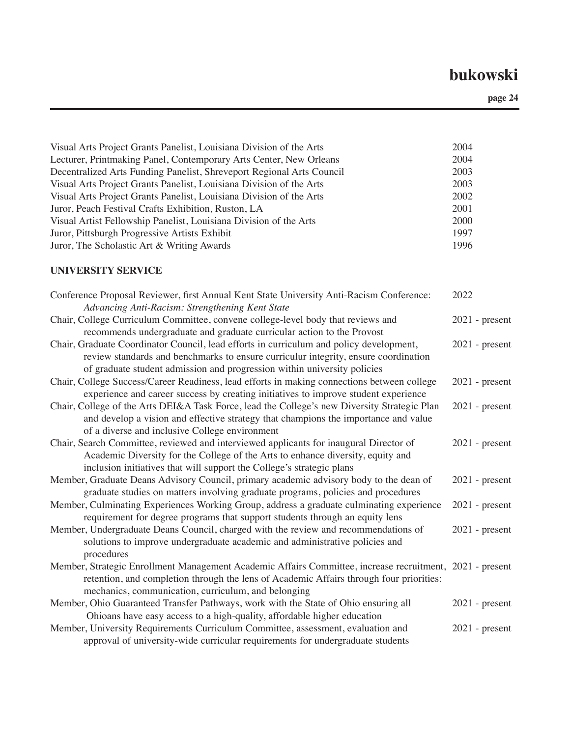**page 24**

| Visual Arts Project Grants Panelist, Louisiana Division of the Arts   | 2004 |
|-----------------------------------------------------------------------|------|
| Lecturer, Printmaking Panel, Contemporary Arts Center, New Orleans    | 2004 |
| Decentralized Arts Funding Panelist, Shreveport Regional Arts Council | 2003 |
| Visual Arts Project Grants Panelist, Louisiana Division of the Arts   | 2003 |
| Visual Arts Project Grants Panelist, Louisiana Division of the Arts   | 2002 |
| Juror, Peach Festival Crafts Exhibition, Ruston, LA                   | 2001 |
| Visual Artist Fellowship Panelist, Louisiana Division of the Arts     | 2000 |
| Juror, Pittsburgh Progressive Artists Exhibit                         | 1997 |
| Juror, The Scholastic Art & Writing Awards                            | 1996 |

#### **UNIVERSITY SERVICE**

| Conference Proposal Reviewer, first Annual Kent State University Anti-Racism Conference:<br>Advancing Anti-Racism: Strengthening Kent State                                                                                                                | 2022             |
|------------------------------------------------------------------------------------------------------------------------------------------------------------------------------------------------------------------------------------------------------------|------------------|
| Chair, College Curriculum Committee, convene college-level body that reviews and<br>recommends undergraduate and graduate curricular action to the Provost                                                                                                 | $2021$ - present |
| Chair, Graduate Coordinator Council, lead efforts in curriculum and policy development,<br>review standards and benchmarks to ensure curriculur integrity, ensure coordination<br>of graduate student admission and progression within university policies | $2021$ - present |
| Chair, College Success/Career Readiness, lead efforts in making connections between college<br>experience and career success by creating initiatives to improve student experience                                                                         | $2021$ - present |
| Chair, College of the Arts DEI&A Task Force, lead the College's new Diversity Strategic Plan<br>and develop a vision and effective strategy that champions the importance and value<br>of a diverse and inclusive College environment                      | $2021$ - present |
| Chair, Search Committee, reviewed and interviewed applicants for inaugural Director of<br>Academic Diversity for the College of the Arts to enhance diversity, equity and<br>inclusion initiatives that will support the College's strategic plans         | $2021$ - present |
| Member, Graduate Deans Advisory Council, primary academic advisory body to the dean of<br>graduate studies on matters involving graduate programs, policies and procedures                                                                                 | $2021$ - present |
| Member, Culminating Experiences Working Group, address a graduate culminating experience<br>requirement for degree programs that support students through an equity lens                                                                                   | $2021$ - present |
| Member, Undergraduate Deans Council, charged with the review and recommendations of<br>solutions to improve undergraduate academic and administrative policies and<br>procedures                                                                           | $2021$ - present |
| Member, Strategic Enrollment Management Academic Affairs Committee, increase recruitment, 2021 - present<br>retention, and completion through the lens of Academic Affairs through four priorities:<br>mechanics, communication, curriculum, and belonging |                  |
| Member, Ohio Guaranteed Transfer Pathways, work with the State of Ohio ensuring all<br>Ohioans have easy access to a high-quality, affordable higher education                                                                                             | $2021$ - present |
| Member, University Requirements Curriculum Committee, assessment, evaluation and<br>approval of university-wide curricular requirements for undergraduate students                                                                                         | $2021$ - present |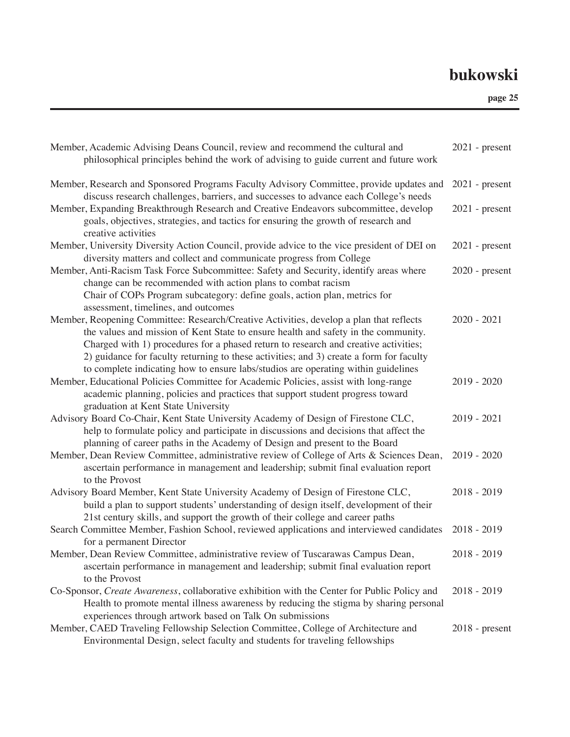| Member, Academic Advising Deans Council, review and recommend the cultural and<br>philosophical principles behind the work of advising to guide current and future work                                                                                                                                                                                                                                                                              | $2021$ - present |
|------------------------------------------------------------------------------------------------------------------------------------------------------------------------------------------------------------------------------------------------------------------------------------------------------------------------------------------------------------------------------------------------------------------------------------------------------|------------------|
| Member, Research and Sponsored Programs Faculty Advisory Committee, provide updates and<br>discuss research challenges, barriers, and successes to advance each College's needs                                                                                                                                                                                                                                                                      | $2021$ - present |
| Member, Expanding Breakthrough Research and Creative Endeavors subcommittee, develop<br>goals, objectives, strategies, and tactics for ensuring the growth of research and<br>creative activities                                                                                                                                                                                                                                                    | $2021$ - present |
| Member, University Diversity Action Council, provide advice to the vice president of DEI on<br>diversity matters and collect and communicate progress from College                                                                                                                                                                                                                                                                                   | $2021$ - present |
| Member, Anti-Racism Task Force Subcommittee: Safety and Security, identify areas where<br>change can be recommended with action plans to combat racism                                                                                                                                                                                                                                                                                               | $2020$ - present |
| Chair of COPs Program subcategory: define goals, action plan, metrics for<br>assessment, timelines, and outcomes                                                                                                                                                                                                                                                                                                                                     |                  |
| Member, Reopening Committee: Research/Creative Activities, develop a plan that reflects<br>the values and mission of Kent State to ensure health and safety in the community.<br>Charged with 1) procedures for a phased return to research and creative activities;<br>2) guidance for faculty returning to these activities; and 3) create a form for faculty<br>to complete indicating how to ensure labs/studios are operating within guidelines | $2020 - 2021$    |
| Member, Educational Policies Committee for Academic Policies, assist with long-range<br>academic planning, policies and practices that support student progress toward<br>graduation at Kent State University                                                                                                                                                                                                                                        | $2019 - 2020$    |
| Advisory Board Co-Chair, Kent State University Academy of Design of Firestone CLC,<br>help to formulate policy and participate in discussions and decisions that affect the<br>planning of career paths in the Academy of Design and present to the Board                                                                                                                                                                                            | $2019 - 2021$    |
| Member, Dean Review Committee, administrative review of College of Arts & Sciences Dean,<br>ascertain performance in management and leadership; submit final evaluation report<br>to the Provost                                                                                                                                                                                                                                                     | $2019 - 2020$    |
| Advisory Board Member, Kent State University Academy of Design of Firestone CLC,<br>build a plan to support students' understanding of design itself, development of their<br>21st century skills, and support the growth of their college and career paths                                                                                                                                                                                          | $2018 - 2019$    |
| Search Committee Member, Fashion School, reviewed applications and interviewed candidates<br>for a permanent Director                                                                                                                                                                                                                                                                                                                                | $2018 - 2019$    |
| Member, Dean Review Committee, administrative review of Tuscarawas Campus Dean,<br>ascertain performance in management and leadership; submit final evaluation report<br>to the Provost                                                                                                                                                                                                                                                              | $2018 - 2019$    |
| Co-Sponsor, Create Awareness, collaborative exhibition with the Center for Public Policy and<br>Health to promote mental illness awareness by reducing the stigma by sharing personal<br>experiences through artwork based on Talk On submissions                                                                                                                                                                                                    | $2018 - 2019$    |
| Member, CAED Traveling Fellowship Selection Committee, College of Architecture and<br>Environmental Design, select faculty and students for traveling fellowships                                                                                                                                                                                                                                                                                    | $2018$ - present |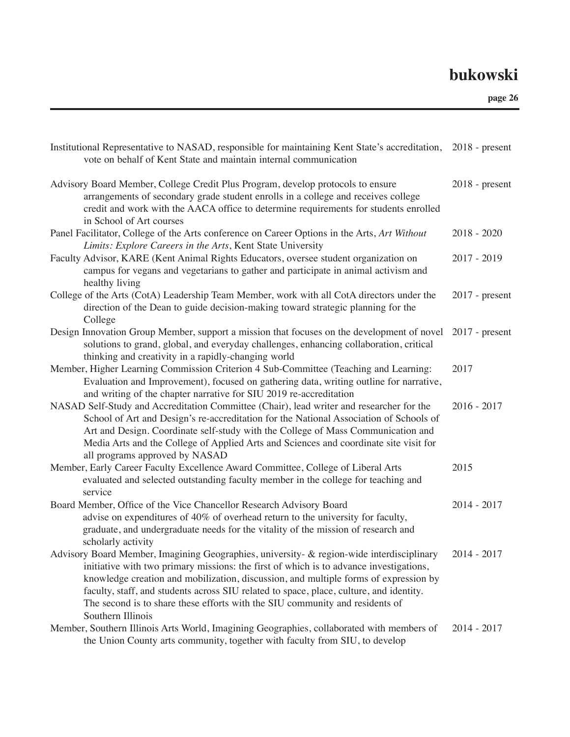| Institutional Representative to NASAD, responsible for maintaining Kent State's accreditation, 2018 - present<br>vote on behalf of Kent State and maintain internal communication                                                                                                                                                                                                                                                                                           |                  |
|-----------------------------------------------------------------------------------------------------------------------------------------------------------------------------------------------------------------------------------------------------------------------------------------------------------------------------------------------------------------------------------------------------------------------------------------------------------------------------|------------------|
| Advisory Board Member, College Credit Plus Program, develop protocols to ensure<br>arrangements of secondary grade student enrolls in a college and receives college<br>credit and work with the AACA office to determine requirements for students enrolled<br>in School of Art courses                                                                                                                                                                                    | $2018$ - present |
| Panel Facilitator, College of the Arts conference on Career Options in the Arts, Art Without<br>Limits: Explore Careers in the Arts, Kent State University                                                                                                                                                                                                                                                                                                                  | $2018 - 2020$    |
| Faculty Advisor, KARE (Kent Animal Rights Educators, oversee student organization on<br>campus for vegans and vegetarians to gather and participate in animal activism and<br>healthy living                                                                                                                                                                                                                                                                                | $2017 - 2019$    |
| College of the Arts (CotA) Leadership Team Member, work with all CotA directors under the<br>direction of the Dean to guide decision-making toward strategic planning for the<br>College                                                                                                                                                                                                                                                                                    | $2017$ - present |
| Design Innovation Group Member, support a mission that focuses on the development of novel 2017 - present<br>solutions to grand, global, and everyday challenges, enhancing collaboration, critical<br>thinking and creativity in a rapidly-changing world                                                                                                                                                                                                                  |                  |
| Member, Higher Learning Commission Criterion 4 Sub-Committee (Teaching and Learning:<br>Evaluation and Improvement), focused on gathering data, writing outline for narrative,<br>and writing of the chapter narrative for SIU 2019 re-accreditation                                                                                                                                                                                                                        | 2017             |
| NASAD Self-Study and Accreditation Committee (Chair), lead writer and researcher for the<br>School of Art and Design's re-accreditation for the National Association of Schools of<br>Art and Design. Coordinate self-study with the College of Mass Communication and<br>Media Arts and the College of Applied Arts and Sciences and coordinate site visit for<br>all programs approved by NASAD                                                                           | $2016 - 2017$    |
| Member, Early Career Faculty Excellence Award Committee, College of Liberal Arts<br>evaluated and selected outstanding faculty member in the college for teaching and<br>service                                                                                                                                                                                                                                                                                            | 2015             |
| Board Member, Office of the Vice Chancellor Research Advisory Board<br>advise on expenditures of 40% of overhead return to the university for faculty,<br>graduate, and undergraduate needs for the vitality of the mission of research and<br>scholarly activity                                                                                                                                                                                                           | $2014 - 2017$    |
| Advisory Board Member, Imagining Geographies, university- & region-wide interdisciplinary<br>initiative with two primary missions: the first of which is to advance investigations,<br>knowledge creation and mobilization, discussion, and multiple forms of expression by<br>faculty, staff, and students across SIU related to space, place, culture, and identity.<br>The second is to share these efforts with the SIU community and residents of<br>Southern Illinois | $2014 - 2017$    |
| Member, Southern Illinois Arts World, Imagining Geographies, collaborated with members of<br>the Union County arts community, together with faculty from SIU, to develop                                                                                                                                                                                                                                                                                                    | $2014 - 2017$    |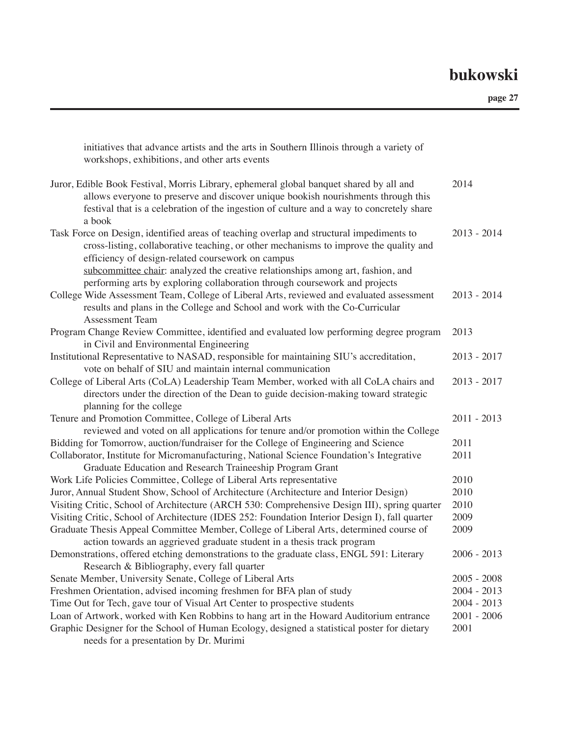| Juror, Edible Book Festival, Morris Library, ephemeral global banquet shared by all and<br>2014<br>allows everyone to preserve and discover unique bookish nourishments through this<br>festival that is a celebration of the ingestion of culture and a way to concretely share<br>a book<br>Task Force on Design, identified areas of teaching overlap and structural impediments to<br>$2013 - 2014$<br>cross-listing, collaborative teaching, or other mechanisms to improve the quality and<br>efficiency of design-related coursework on campus<br>subcommittee chair: analyzed the creative relationships among art, fashion, and<br>performing arts by exploring collaboration through coursework and projects<br>College Wide Assessment Team, College of Liberal Arts, reviewed and evaluated assessment<br>$2013 - 2014$ |
|-------------------------------------------------------------------------------------------------------------------------------------------------------------------------------------------------------------------------------------------------------------------------------------------------------------------------------------------------------------------------------------------------------------------------------------------------------------------------------------------------------------------------------------------------------------------------------------------------------------------------------------------------------------------------------------------------------------------------------------------------------------------------------------------------------------------------------------|
|                                                                                                                                                                                                                                                                                                                                                                                                                                                                                                                                                                                                                                                                                                                                                                                                                                     |
|                                                                                                                                                                                                                                                                                                                                                                                                                                                                                                                                                                                                                                                                                                                                                                                                                                     |
| results and plans in the College and School and work with the Co-Curricular<br><b>Assessment Team</b>                                                                                                                                                                                                                                                                                                                                                                                                                                                                                                                                                                                                                                                                                                                               |
| 2013<br>Program Change Review Committee, identified and evaluated low performing degree program<br>in Civil and Environmental Engineering                                                                                                                                                                                                                                                                                                                                                                                                                                                                                                                                                                                                                                                                                           |
| Institutional Representative to NASAD, responsible for maintaining SIU's accreditation,<br>$2013 - 2017$<br>vote on behalf of SIU and maintain internal communication                                                                                                                                                                                                                                                                                                                                                                                                                                                                                                                                                                                                                                                               |
| College of Liberal Arts (CoLA) Leadership Team Member, worked with all CoLA chairs and<br>$2013 - 2017$<br>directors under the direction of the Dean to guide decision-making toward strategic<br>planning for the college                                                                                                                                                                                                                                                                                                                                                                                                                                                                                                                                                                                                          |
| Tenure and Promotion Committee, College of Liberal Arts<br>$2011 - 2013$<br>reviewed and voted on all applications for tenure and/or promotion within the College                                                                                                                                                                                                                                                                                                                                                                                                                                                                                                                                                                                                                                                                   |
| Bidding for Tomorrow, auction/fundraiser for the College of Engineering and Science<br>2011                                                                                                                                                                                                                                                                                                                                                                                                                                                                                                                                                                                                                                                                                                                                         |
| Collaborator, Institute for Micromanufacturing, National Science Foundation's Integrative<br>2011                                                                                                                                                                                                                                                                                                                                                                                                                                                                                                                                                                                                                                                                                                                                   |
| Graduate Education and Research Traineeship Program Grant                                                                                                                                                                                                                                                                                                                                                                                                                                                                                                                                                                                                                                                                                                                                                                           |
| 2010<br>Work Life Policies Committee, College of Liberal Arts representative                                                                                                                                                                                                                                                                                                                                                                                                                                                                                                                                                                                                                                                                                                                                                        |
| 2010<br>Juror, Annual Student Show, School of Architecture (Architecture and Interior Design)                                                                                                                                                                                                                                                                                                                                                                                                                                                                                                                                                                                                                                                                                                                                       |
| Visiting Critic, School of Architecture (ARCH 530: Comprehensive Design III), spring quarter<br>2010                                                                                                                                                                                                                                                                                                                                                                                                                                                                                                                                                                                                                                                                                                                                |
| 2009<br>Visiting Critic, School of Architecture (IDES 252: Foundation Interior Design I), fall quarter                                                                                                                                                                                                                                                                                                                                                                                                                                                                                                                                                                                                                                                                                                                              |
| Graduate Thesis Appeal Committee Member, College of Liberal Arts, determined course of<br>2009                                                                                                                                                                                                                                                                                                                                                                                                                                                                                                                                                                                                                                                                                                                                      |
| action towards an aggrieved graduate student in a thesis track program                                                                                                                                                                                                                                                                                                                                                                                                                                                                                                                                                                                                                                                                                                                                                              |
| Demonstrations, offered etching demonstrations to the graduate class, ENGL 591: Literary<br>$2006 - 2013$                                                                                                                                                                                                                                                                                                                                                                                                                                                                                                                                                                                                                                                                                                                           |
| Research & Bibliography, every fall quarter                                                                                                                                                                                                                                                                                                                                                                                                                                                                                                                                                                                                                                                                                                                                                                                         |
| Senate Member, University Senate, College of Liberal Arts<br>$2005 - 2008$                                                                                                                                                                                                                                                                                                                                                                                                                                                                                                                                                                                                                                                                                                                                                          |
| Freshmen Orientation, advised incoming freshmen for BFA plan of study<br>$2004 - 2013$                                                                                                                                                                                                                                                                                                                                                                                                                                                                                                                                                                                                                                                                                                                                              |
| Time Out for Tech, gave tour of Visual Art Center to prospective students<br>$2004 - 2013$                                                                                                                                                                                                                                                                                                                                                                                                                                                                                                                                                                                                                                                                                                                                          |
| Loan of Artwork, worked with Ken Robbins to hang art in the Howard Auditorium entrance<br>$2001 - 2006$                                                                                                                                                                                                                                                                                                                                                                                                                                                                                                                                                                                                                                                                                                                             |
| Graphic Designer for the School of Human Ecology, designed a statistical poster for dietary<br>2001<br>needs for a presentation by Dr. Murimi                                                                                                                                                                                                                                                                                                                                                                                                                                                                                                                                                                                                                                                                                       |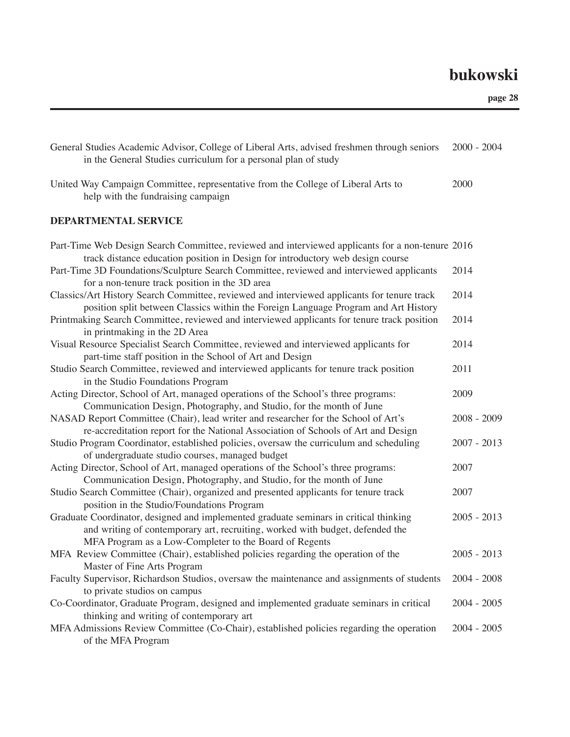| General Studies Academic Advisor, College of Liberal Arts, advised freshmen through seniors<br>in the General Studies curriculum for a personal plan of study                                                                    | $2000 - 2004$ |
|----------------------------------------------------------------------------------------------------------------------------------------------------------------------------------------------------------------------------------|---------------|
| United Way Campaign Committee, representative from the College of Liberal Arts to<br>help with the fundraising campaign                                                                                                          | 2000          |
| DEPARTMENTAL SERVICE                                                                                                                                                                                                             |               |
| Part-Time Web Design Search Committee, reviewed and interviewed applicants for a non-tenure 2016<br>track distance education position in Design for introductory web design course                                               |               |
| Part-Time 3D Foundations/Sculpture Search Committee, reviewed and interviewed applicants<br>for a non-tenure track position in the 3D area                                                                                       | 2014          |
| Classics/Art History Search Committee, reviewed and interviewed applicants for tenure track<br>position split between Classics within the Foreign Language Program and Art History                                               | 2014          |
| Printmaking Search Committee, reviewed and interviewed applicants for tenure track position<br>in printmaking in the 2D Area                                                                                                     | 2014          |
| Visual Resource Specialist Search Committee, reviewed and interviewed applicants for<br>part-time staff position in the School of Art and Design                                                                                 | 2014          |
| Studio Search Committee, reviewed and interviewed applicants for tenure track position<br>in the Studio Foundations Program                                                                                                      | 2011          |
| Acting Director, School of Art, managed operations of the School's three programs:<br>Communication Design, Photography, and Studio, for the month of June                                                                       | 2009          |
| NASAD Report Committee (Chair), lead writer and researcher for the School of Art's<br>re-accreditation report for the National Association of Schools of Art and Design                                                          | $2008 - 2009$ |
| Studio Program Coordinator, established policies, oversaw the curriculum and scheduling<br>of undergraduate studio courses, managed budget                                                                                       | $2007 - 2013$ |
| Acting Director, School of Art, managed operations of the School's three programs:<br>Communication Design, Photography, and Studio, for the month of June                                                                       | 2007          |
| Studio Search Committee (Chair), organized and presented applicants for tenure track<br>position in the Studio/Foundations Program                                                                                               | 2007          |
| Graduate Coordinator, designed and implemented graduate seminars in critical thinking<br>and writing of contemporary art, recruiting, worked with budget, defended the<br>MFA Program as a Low-Completer to the Board of Regents | $2005 - 2013$ |
| MFA Review Committee (Chair), established policies regarding the operation of the<br>Master of Fine Arts Program                                                                                                                 | $2005 - 2013$ |
| Faculty Supervisor, Richardson Studios, oversaw the maintenance and assignments of students<br>to private studios on campus                                                                                                      | $2004 - 2008$ |
| Co-Coordinator, Graduate Program, designed and implemented graduate seminars in critical<br>thinking and writing of contemporary art                                                                                             | $2004 - 2005$ |
| MFA Admissions Review Committee (Co-Chair), established policies regarding the operation<br>of the MFA Program                                                                                                                   | $2004 - 2005$ |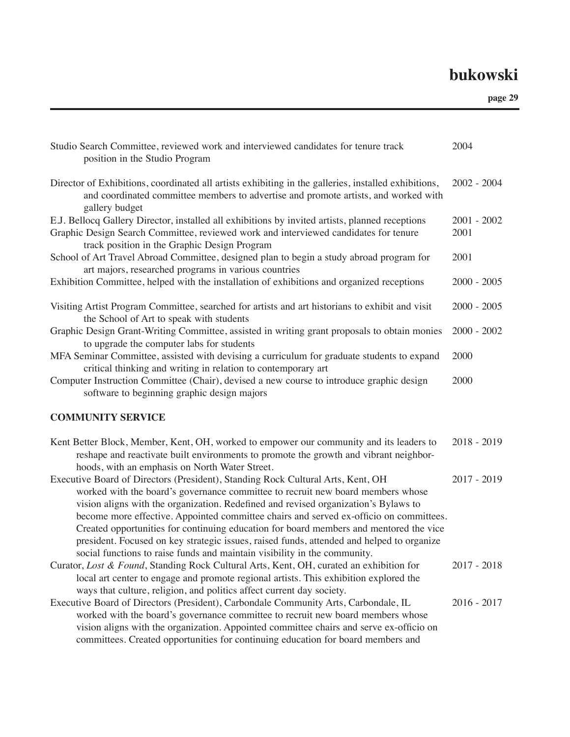| Studio Search Committee, reviewed work and interviewed candidates for tenure track<br>position in the Studio Program                                                                                                                                                                                                                                                                                                                                                                                                                                                                                                    | 2004          |
|-------------------------------------------------------------------------------------------------------------------------------------------------------------------------------------------------------------------------------------------------------------------------------------------------------------------------------------------------------------------------------------------------------------------------------------------------------------------------------------------------------------------------------------------------------------------------------------------------------------------------|---------------|
| Director of Exhibitions, coordinated all artists exhibiting in the galleries, installed exhibitions,<br>and coordinated committee members to advertise and promote artists, and worked with<br>gallery budget                                                                                                                                                                                                                                                                                                                                                                                                           | $2002 - 2004$ |
| E.J. Bellocq Gallery Director, installed all exhibitions by invited artists, planned receptions                                                                                                                                                                                                                                                                                                                                                                                                                                                                                                                         | $2001 - 2002$ |
| Graphic Design Search Committee, reviewed work and interviewed candidates for tenure<br>track position in the Graphic Design Program                                                                                                                                                                                                                                                                                                                                                                                                                                                                                    | 2001          |
| School of Art Travel Abroad Committee, designed plan to begin a study abroad program for<br>art majors, researched programs in various countries                                                                                                                                                                                                                                                                                                                                                                                                                                                                        | 2001          |
| Exhibition Committee, helped with the installation of exhibitions and organized receptions                                                                                                                                                                                                                                                                                                                                                                                                                                                                                                                              | $2000 - 2005$ |
| Visiting Artist Program Committee, searched for artists and art historians to exhibit and visit<br>the School of Art to speak with students                                                                                                                                                                                                                                                                                                                                                                                                                                                                             | $2000 - 2005$ |
| Graphic Design Grant-Writing Committee, assisted in writing grant proposals to obtain monies<br>to upgrade the computer labs for students                                                                                                                                                                                                                                                                                                                                                                                                                                                                               | $2000 - 2002$ |
| MFA Seminar Committee, assisted with devising a curriculum for graduate students to expand<br>critical thinking and writing in relation to contemporary art                                                                                                                                                                                                                                                                                                                                                                                                                                                             | 2000          |
| Computer Instruction Committee (Chair), devised a new course to introduce graphic design<br>software to beginning graphic design majors                                                                                                                                                                                                                                                                                                                                                                                                                                                                                 | 2000          |
| <b>COMMUNITY SERVICE</b>                                                                                                                                                                                                                                                                                                                                                                                                                                                                                                                                                                                                |               |
| Kent Better Block, Member, Kent, OH, worked to empower our community and its leaders to<br>reshape and reactivate built environments to promote the growth and vibrant neighbor-<br>hoods, with an emphasis on North Water Street.                                                                                                                                                                                                                                                                                                                                                                                      | $2018 - 2019$ |
| Executive Board of Directors (President), Standing Rock Cultural Arts, Kent, OH<br>worked with the board's governance committee to recruit new board members whose<br>vision aligns with the organization. Redefined and revised organization's Bylaws to<br>become more effective. Appointed committee chairs and served ex-officio on committees.<br>Created opportunities for continuing education for board members and mentored the vice<br>president. Focused on key strategic issues, raised funds, attended and helped to organize<br>social functions to raise funds and maintain visibility in the community. | $2017 - 2019$ |
| Curator, Lost & Found, Standing Rock Cultural Arts, Kent, OH, curated an exhibition for                                                                                                                                                                                                                                                                                                                                                                                                                                                                                                                                 | $2017 - 2018$ |
| local art center to engage and promote regional artists. This exhibition explored the<br>ways that culture, religion, and politics affect current day society.                                                                                                                                                                                                                                                                                                                                                                                                                                                          |               |
| Executive Board of Directors (President), Carbondale Community Arts, Carbondale, IL                                                                                                                                                                                                                                                                                                                                                                                                                                                                                                                                     | $2016 - 2017$ |
| worked with the board's governance committee to recruit new board members whose<br>vision aligns with the organization. Appointed committee chairs and serve ex-officio on<br>committees. Created opportunities for continuing education for board members and                                                                                                                                                                                                                                                                                                                                                          |               |